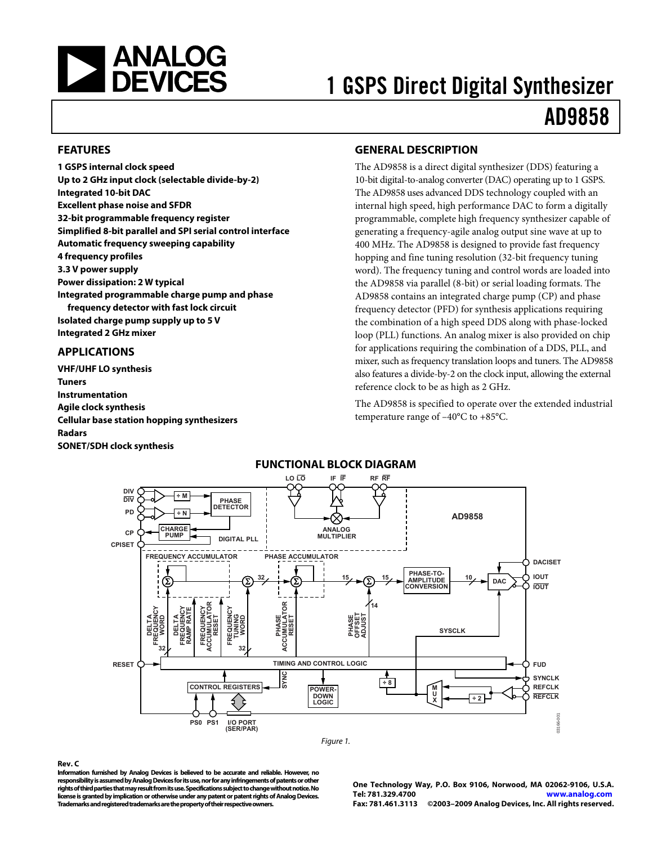<span id="page-0-0"></span>

# 1 GSPS Direct Digital Synthesizer AD9858

#### **FEATURES**

**1 GSPS internal clock speed Up to 2 GHz input clock (selectable divide-by-2) Integrated 10-bit DAC Excellent phase noise and SFDR 32-bit programmable frequency register Simplified 8-bit parallel and SPI serial control interface Automatic frequency sweeping capability 4 frequency profiles 3.3 V power supply Power dissipation: 2 W typical Integrated programmable charge pump and phase frequency detector with fast lock circuit Isolated charge pump supply up to 5 V Integrated 2 GHz mixer** 

### **APPLICATIONS**

**VHF/UHF LO synthesis Tuners Instrumentation Agile clock synthesis Cellular base station hopping synthesizers Radars SONET/SDH clock synthesis** 

### **GENERAL DESCRIPTION**

The AD9858 is a direct digital synthesizer (DDS) featuring a 10-bit digital-to-analog converter (DAC) operating up to 1 GSPS. The AD9858 uses advanced DDS technology coupled with an internal high speed, high performance DAC to form a digitally programmable, complete high frequency synthesizer capable of generating a frequency-agile analog output sine wave at up to 400 MHz. The AD9858 is designed to provide fast frequency hopping and fine tuning resolution (32-bit frequency tuning word). The frequency tuning and control words are loaded into the AD9858 via parallel (8-bit) or serial loading formats. The AD9858 contains an integrated charge pump (CP) and phase frequency detector (PFD) for synthesis applications requiring the combination of a high speed DDS along with phase-locked loop (PLL) functions. An analog mixer is also provided on chip for applications requiring the combination of a DDS, PLL, and mixer, such as frequency translation loops and tuners. The AD9858 also features a divide-by-2 on the clock input, allowing the external reference clock to be as high as 2 GHz.

The AD9858 is specified to operate over the extended industrial temperature range of –40°C to +85°C.



#### **Rev. C**

**Information furnished by Analog Devices is believed to be accurate and reliable. However, no responsibility is assumed by Analog Devices for its use, nor for any infringements of patents or other rights of third parties that may result from its use. Specifications subject to change without notice. No license is granted by implication or otherwise under any patent or patent rights of Analog Devices. Trademarks and registered trademarks are the property of their respective owners.** 

**One Technology Way, P.O. Box 9106, Norwood, MA 02062-9106, U.S.A. Tel: 781.329.4700 www.analog.com Fax: 781.461.3113 ©2003–2009 Analog Devices, Inc. All rights reserved.**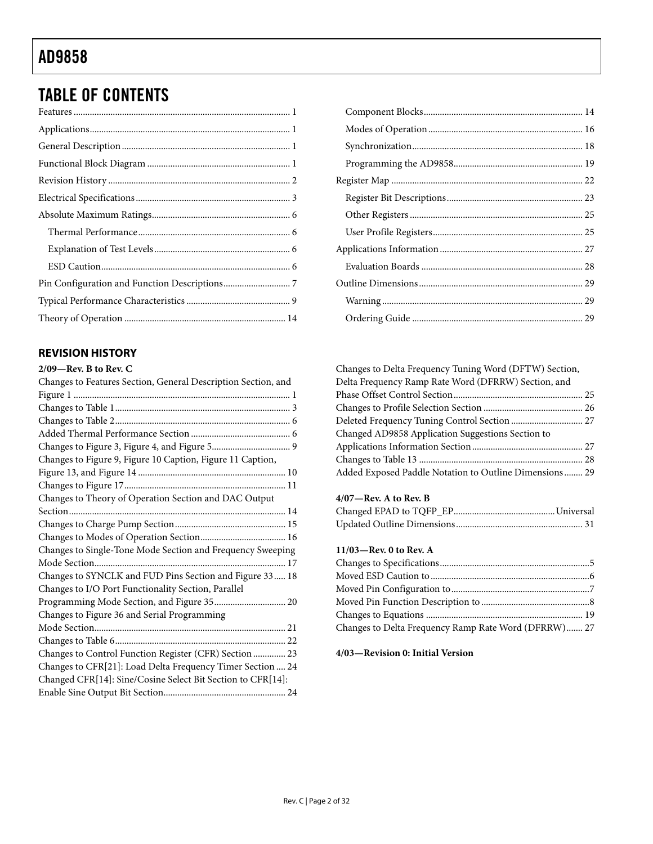# <span id="page-1-0"></span>TABLE OF CONTENTS

### **REVISION HISTORY**

| $2/09$ —Rev. B to Rev. C                                      |
|---------------------------------------------------------------|
| Changes to Features Section, General Description Section, and |
|                                                               |
|                                                               |
|                                                               |
|                                                               |
|                                                               |
| Changes to Figure 9, Figure 10 Caption, Figure 11 Caption,    |
|                                                               |
|                                                               |
| Changes to Theory of Operation Section and DAC Output         |
|                                                               |
|                                                               |
|                                                               |
| Changes to Single-Tone Mode Section and Frequency Sweeping    |
|                                                               |
| Changes to SYNCLK and FUD Pins Section and Figure 33 18       |
| Changes to I/O Port Functionality Section, Parallel           |
| Programming Mode Section, and Figure 35 20                    |
| Changes to Figure 36 and Serial Programming                   |
|                                                               |
|                                                               |
| Changes to Control Function Register (CFR) Section  23        |
| Changes to CFR[21]: Load Delta Frequency Timer Section  24    |
| Changed CFR[14]: Sine/Cosine Select Bit Section to CFR[14]:   |
|                                                               |

| Changes to Delta Frequency Tuning Word (DFTW) Section, |  |
|--------------------------------------------------------|--|
| Delta Frequency Ramp Rate Word (DFRRW) Section, and    |  |
|                                                        |  |
|                                                        |  |
| Deleted Frequency Tuning Control Section  27           |  |
| Changed AD9858 Application Suggestions Section to      |  |
|                                                        |  |
|                                                        |  |
| Added Exposed Paddle Notation to Outline Dimensions 29 |  |

### **4/07—Rev. A to Rev. B**

### **11/03—Rev. 0 to Rev. A**

| Changes to Delta Frequency Ramp Rate Word (DFRRW) 27 |  |
|------------------------------------------------------|--|

#### **4/03—Revision 0: Initial Version**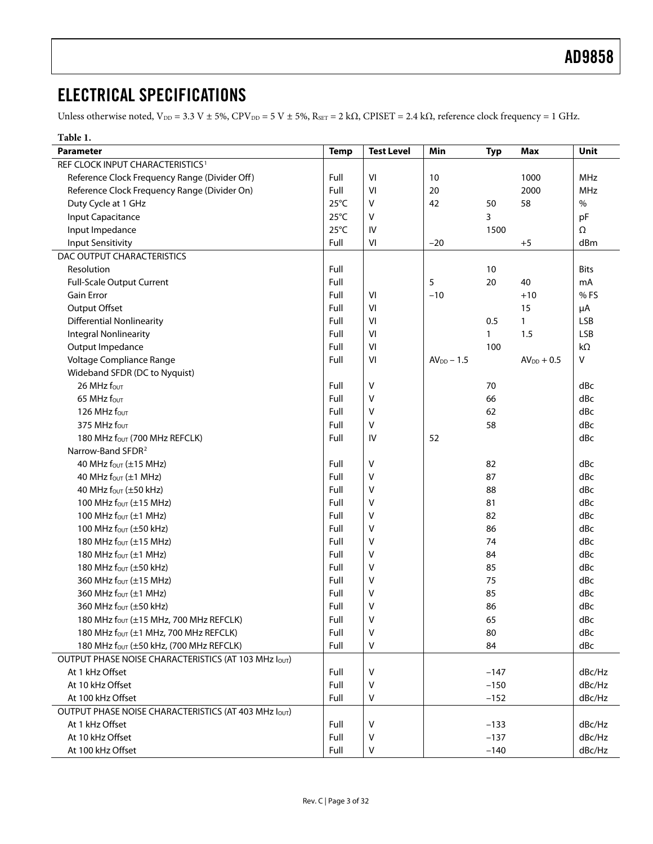# <span id="page-2-0"></span>ELECTRICAL SPECIFICATIONS

Unless otherwise noted,  $V_{DD} = 3.3 V \pm 5\%$ ,  $CPV_{DD} = 5 V \pm 5\%$ ,  $R_{SET} = 2 k\Omega$ ,  $CPISET = 2.4 k\Omega$ , reference clock frequency = 1 GHz.

<span id="page-2-1"></span>

| Table 1.                                             |                |                   |              |            |                 |             |
|------------------------------------------------------|----------------|-------------------|--------------|------------|-----------------|-------------|
| <b>Parameter</b>                                     | <b>Temp</b>    | <b>Test Level</b> | Min          | <b>Typ</b> | <b>Max</b>      | Unit        |
| REF CLOCK INPUT CHARACTERISTICS <sup>1</sup>         |                |                   |              |            |                 |             |
| Reference Clock Frequency Range (Divider Off)        | Full           | VI                | 10           |            | 1000            | MHz         |
| Reference Clock Frequency Range (Divider On)         | Full           | VI                | 20           |            | 2000            | <b>MHz</b>  |
| Duty Cycle at 1 GHz                                  | $25^{\circ}$ C | V                 | 42           | 50         | 58              | $\%$        |
| <b>Input Capacitance</b>                             | $25^{\circ}$ C | V                 |              | 3          |                 | pF          |
| Input Impedance                                      | $25^{\circ}$ C | IV                |              | 1500       |                 | $\Omega$    |
| <b>Input Sensitivity</b>                             | Full           | VI                | $-20$        |            | $+5$            | dBm         |
| DAC OUTPUT CHARACTERISTICS                           |                |                   |              |            |                 |             |
| Resolution                                           | Full           |                   |              | 10         |                 | <b>Bits</b> |
| <b>Full-Scale Output Current</b>                     | Full           |                   | 5            | 20         | 40              | mA          |
| <b>Gain Error</b>                                    | Full           | VI                | $-10$        |            | $+10$           | %FS         |
| Output Offset                                        | Full           | VI                |              |            | 15              | μA          |
| <b>Differential Nonlinearity</b>                     | Full           | VI                |              | 0.5        | $\mathbf{1}$    | <b>LSB</b>  |
| <b>Integral Nonlinearity</b>                         | Full           | VI                |              | 1          | 1.5             | <b>LSB</b>  |
| Output Impedance                                     | Full           | VI                |              | 100        |                 | kΩ          |
| Voltage Compliance Range                             | Full           | VI                | $AVDD - 1.5$ |            | $AV_{DD} + 0.5$ | V           |
| Wideband SFDR (DC to Nyquist)                        |                |                   |              |            |                 |             |
| 26 MHz four                                          | Full           | V                 |              | 70         |                 | dBc         |
| 65 MHz four                                          | Full           | ٧                 |              | 66         |                 | dBc         |
| 126 MHz fout                                         | Full           | ٧                 |              | 62         |                 | dBc         |
| 375 MHz four                                         | Full           | v                 |              | 58         |                 | dBc         |
| 180 MHz fout (700 MHz REFCLK)                        | Full           | IV                | 52           |            |                 | dBc         |
| Narrow-Band SFDR <sup>2</sup>                        |                |                   |              |            |                 |             |
| 40 MHz four $(\pm 15$ MHz)                           | Full           | V                 |              | 82         |                 | dBc         |
| 40 MHz $f_{\text{OUT}}$ ( $\pm$ 1 MHz)               | Full           | ٧                 |              | 87         |                 | dBc         |
| 40 MHz f <sub>out</sub> (±50 kHz)                    | Full           | ٧                 |              | 88         |                 | dBc         |
| 100 MHz $f_{OUT}$ ( $\pm$ 15 MHz)                    | Full           | V                 |              | 81         |                 | dBc         |
| 100 MHz $f_{\text{OUT}}$ ( $\pm$ 1 MHz)              | Full           | ٧                 |              | 82         |                 | dBc         |
| 100 MHz $f_{OUT}$ ( $\pm$ 50 kHz)                    | Full           | v                 |              | 86         |                 | dBc         |
| 180 MHz $f_{OUT}$ ( $\pm$ 15 MHz)                    | Full           | V                 |              | 74         |                 | dBc         |
| 180 MHz $f_{OUT}$ ( $\pm$ 1 MHz)                     | Full           | V                 |              | 84         |                 | dBc         |
| 180 MHz fout (±50 kHz)                               | Full           | V                 |              | 85         |                 | dBc         |
| 360 MHz f <sub>out</sub> (±15 MHz)                   | Full           | V                 |              | 75         |                 | dBc         |
| 360 MHz $f_{\text{OUT}}$ ( $\pm$ 1 MHz)              | Full           | V                 |              | 85         |                 | dBc         |
| 360 MHz f <sub>out</sub> (±50 kHz)                   | Full           | V                 |              | 86         |                 | dBc         |
| 180 MHz fout (±15 MHz, 700 MHz REFCLK)               | Full           | ٧                 |              | 65         |                 | dBc         |
| 180 MHz fout (±1 MHz, 700 MHz REFCLK)                | Full           | ٧                 |              | 80         |                 | dBc         |
| 180 MHz fout (±50 kHz, (700 MHz REFCLK)              | Full           | V                 |              | 84         |                 | dBc         |
| OUTPUT PHASE NOISE CHARACTERISTICS (AT 103 MHz lout) |                |                   |              |            |                 |             |
| At 1 kHz Offset                                      | Full           | V                 |              | $-147$     |                 | dBc/Hz      |
| At 10 kHz Offset                                     | Full           | ٧                 |              | $-150$     |                 | dBc/Hz      |
| At 100 kHz Offset                                    | Full           | V                 |              | $-152$     |                 | dBc/Hz      |
| OUTPUT PHASE NOISE CHARACTERISTICS (AT 403 MHz lout) |                |                   |              |            |                 |             |
| At 1 kHz Offset                                      | Full           | V                 |              | $-133$     |                 | dBc/Hz      |
| At 10 kHz Offset                                     | Full           | v                 |              | $-137$     |                 | dBc/Hz      |
| At 100 kHz Offset                                    | Full           | V                 |              | $-140$     |                 | dBc/Hz      |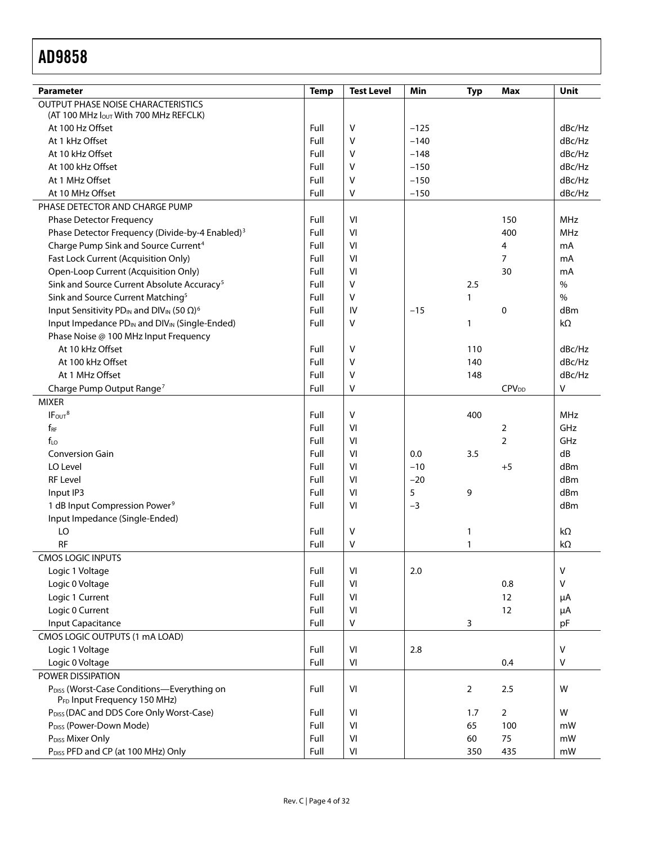| <b>Parameter</b>                                                                     | <b>Temp</b> | <b>Test Level</b> | Min    | <b>Typ</b>     | Max                     | Unit       |
|--------------------------------------------------------------------------------------|-------------|-------------------|--------|----------------|-------------------------|------------|
| <b>OUTPUT PHASE NOISE CHARACTERISTICS</b>                                            |             |                   |        |                |                         |            |
| (AT 100 MHz lout With 700 MHz REFCLK)                                                |             |                   |        |                |                         |            |
| At 100 Hz Offset                                                                     | Full        | V                 | $-125$ |                |                         | dBc/Hz     |
| At 1 kHz Offset                                                                      | Full        | v                 | $-140$ |                |                         | dBc/Hz     |
| At 10 kHz Offset                                                                     | Full        | v                 | $-148$ |                |                         | dBc/Hz     |
| At 100 kHz Offset                                                                    | Full        | v                 | $-150$ |                |                         | dBc/Hz     |
| At 1 MHz Offset                                                                      | Full        | V                 | $-150$ |                |                         | dBc/Hz     |
| At 10 MHz Offset                                                                     | Full        | V                 | $-150$ |                |                         | dBc/Hz     |
| PHASE DETECTOR AND CHARGE PUMP                                                       |             |                   |        |                |                         |            |
| <b>Phase Detector Frequency</b>                                                      | Full        | VI                |        |                | 150                     | <b>MHz</b> |
| Phase Detector Frequency (Divide-by-4 Enabled) <sup>3</sup>                          | Full        | VI                |        |                | 400                     | MHz        |
| Charge Pump Sink and Source Current <sup>4</sup>                                     | Full        | VI                |        |                | 4                       | mA         |
| Fast Lock Current (Acquisition Only)                                                 | Full        | VI                |        |                | $\overline{7}$          | mA         |
| Open-Loop Current (Acquisition Only)                                                 | Full        | VI                |        |                | 30                      | mA         |
| Sink and Source Current Absolute Accuracy <sup>5</sup>                               | Full        | v                 |        | 2.5            |                         | $\%$       |
| Sink and Source Current Matching <sup>5</sup>                                        | Full        | V                 |        | $\mathbf{1}$   |                         | $\%$       |
| Input Sensitivity PD <sub>IN</sub> and DIV <sub>IN</sub> (50 $\Omega$ ) <sup>6</sup> | Full        | IV                | $-15$  |                | $\mathbf 0$             | dBm        |
| Input Impedance PD <sub>IN</sub> and DIV <sub>IN</sub> (Single-Ended)                | Full        | v                 |        | 1              |                         | $k\Omega$  |
| Phase Noise @ 100 MHz Input Frequency                                                |             |                   |        |                |                         |            |
| At 10 kHz Offset                                                                     | Full        | v                 |        | 110            |                         | dBc/Hz     |
| At 100 kHz Offset                                                                    | Full        | v                 |        | 140            |                         | dBc/Hz     |
| At 1 MHz Offset                                                                      | Full        | V                 |        | 148            |                         | dBc/Hz     |
| Charge Pump Output Range <sup>7</sup>                                                | Full        | V                 |        |                | <b>CPV<sub>DD</sub></b> | v          |
| <b>MIXER</b>                                                                         |             |                   |        |                |                         |            |
| IF <sub>OUT</sub> <sup>8</sup>                                                       | Full        | V                 |        | 400            |                         | <b>MHz</b> |
| $f_{RF}$                                                                             | Full        | VI                |        |                | $\overline{2}$          | GHz        |
| $f_{10}$                                                                             | Full        | VI                |        |                | $\overline{2}$          | GHz        |
| <b>Conversion Gain</b>                                                               | Full        | VI                | 0.0    | 3.5            |                         | dB         |
| LO Level                                                                             | Full        | VI                | $-10$  |                | $+5$                    | dBm        |
| <b>RF Level</b>                                                                      | Full        | VI                | $-20$  |                |                         | dBm        |
| Input IP3                                                                            | Full        | VI                | 5      | 9              |                         | dBm        |
| 1 dB Input Compression Power <sup>9</sup>                                            | Full        | VI                | $-3$   |                |                         | dBm        |
| Input Impedance (Single-Ended)                                                       |             |                   |        |                |                         |            |
| LO                                                                                   | Full        | V                 |        | 1              |                         | kΩ         |
| <b>RF</b>                                                                            | Full        | v                 |        | $\mathbf{1}$   |                         | kΩ         |
| <b>CMOS LOGIC INPUTS</b>                                                             |             |                   |        |                |                         |            |
| Logic 1 Voltage                                                                      | Full        | VI                | 2.0    |                |                         | ٧          |
| Logic 0 Voltage                                                                      | Full        | VI                |        |                | 0.8                     | ٧          |
| Logic 1 Current                                                                      | Full        | VI                |        |                | 12                      | μA         |
| Logic 0 Current                                                                      | Full        | VI                |        |                | 12                      | μA         |
| <b>Input Capacitance</b>                                                             | Full        | V                 |        | 3              |                         | pF         |
| CMOS LOGIC OUTPUTS (1 mA LOAD)                                                       |             |                   |        |                |                         |            |
| Logic 1 Voltage                                                                      | Full        | VI                | 2.8    |                |                         | ٧          |
| Logic 0 Voltage                                                                      | Full        | VI                |        |                | 0.4                     | v          |
| POWER DISSIPATION                                                                    |             |                   |        |                |                         |            |
| P <sub>DISS</sub> (Worst-Case Conditions-Everything on                               | Full        | VI                |        | $\overline{2}$ | 2.5                     | W          |
| PFD Input Frequency 150 MHz)                                                         |             |                   |        |                |                         |            |
| PDISS (DAC and DDS Core Only Worst-Case)                                             | Full        | VI                |        | 1.7            | $\overline{2}$          | W          |
| P <sub>DISS</sub> (Power-Down Mode)                                                  | Full        | VI                |        | 65             | 100                     | mW         |
| P <sub>DISS</sub> Mixer Only                                                         | Full        | VI                |        | 60             | 75                      | mW         |
| P <sub>DISS</sub> PFD and CP (at 100 MHz) Only                                       | Full        | VI                |        | 350            | 435                     | mW         |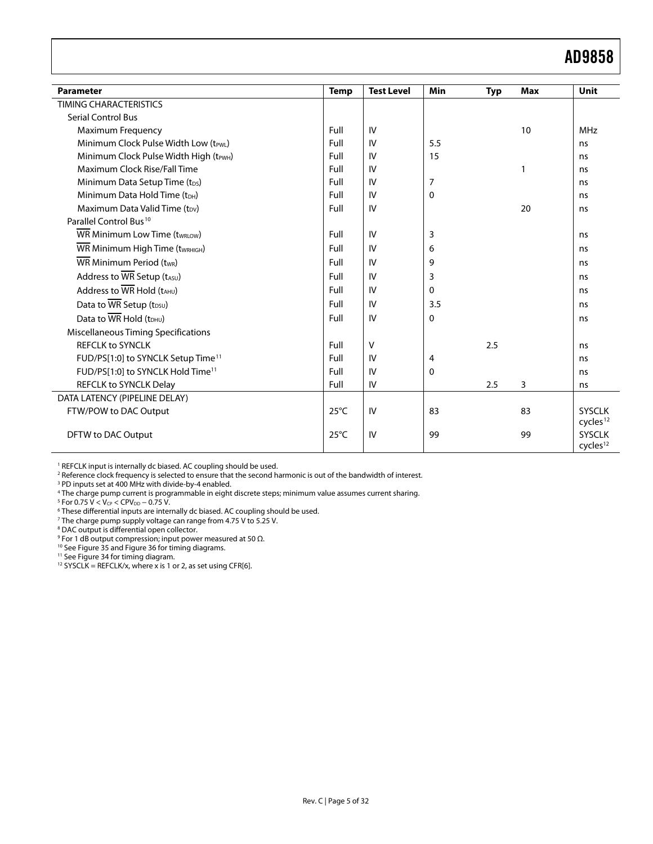<span id="page-4-0"></span>

| <b>Parameter</b>                                            | <b>Temp</b>    | <b>Test Level</b> | Min            | <b>Typ</b> | <b>Max</b> | Unit                 |
|-------------------------------------------------------------|----------------|-------------------|----------------|------------|------------|----------------------|
| TIMING CHARACTERISTICS                                      |                |                   |                |            |            |                      |
| <b>Serial Control Bus</b>                                   |                |                   |                |            |            |                      |
| <b>Maximum Frequency</b>                                    | Full           | IV                |                |            | 10         | <b>MHz</b>           |
| Minimum Clock Pulse Width Low (tPWL)                        | Full           | IV                | 5.5            |            |            | ns                   |
| Minimum Clock Pulse Width High (t <sub>PWH</sub> )          | Full           | IV                | 15             |            |            | ns                   |
| Maximum Clock Rise/Fall Time                                | Full           | IV                |                |            | 1          | ns                   |
| Minimum Data Setup Time (t <sub>DS</sub> )                  | Full           | IV                | $\overline{7}$ |            |            | ns                   |
| Minimum Data Hold Time (tDH)                                | Full           | IV                | $\mathbf{0}$   |            |            | ns                   |
| Maximum Data Valid Time $(t_{DV})$                          | Full           | IV                |                |            | 20         | ns                   |
| Parallel Control Bus <sup>10</sup>                          |                |                   |                |            |            |                      |
| <b>WR Minimum Low Time (twRLOW)</b>                         | Full           | IV                | 3              |            |            | ns                   |
| WR Minimum High Time (twRHIGH)                              | Full           | IV                | 6              |            |            | ns                   |
| WR Minimum Period (twR)                                     | Full           | IV                | 9              |            |            | ns                   |
| Address to WR Setup (tASU)                                  | Full           | IV                | 3              |            |            | ns                   |
| Address to $\overline{\text{WR}}$ Hold ( $t_{\text{AHU}}$ ) | Full           | IV                | $\mathbf{0}$   |            |            | ns                   |
| Data to WR Setup (t <sub>DSU</sub> )                        | Full           | IV                | 3.5            |            |            | ns                   |
| Data to $\overline{\text{WR}}$ Hold ( $t$ <sub>DHU</sub> )  | Full           | IV                | $\mathbf{0}$   |            |            | ns                   |
| <b>Miscellaneous Timing Specifications</b>                  |                |                   |                |            |            |                      |
| <b>REFCLK to SYNCLK</b>                                     | Full           | $\vee$            |                | 2.5        |            | ns                   |
| FUD/PS[1:0] to SYNCLK Setup Time <sup>11</sup>              | Full           | IV                | 4              |            |            | ns                   |
| FUD/PS[1:0] to SYNCLK Hold Time <sup>11</sup>               | Full           | IV                | $\Omega$       |            |            | ns                   |
| REFCLK to SYNCLK Delay                                      | Full           | IV                |                | 2.5        | 3          | ns                   |
| DATA LATENCY (PIPELINE DELAY)                               |                |                   |                |            |            |                      |
| FTW/POW to DAC Output                                       | $25^{\circ}$ C | IV                | 83             |            | 83         | <b>SYSCLK</b>        |
|                                                             |                |                   |                |            |            | cycles <sup>12</sup> |
| DFTW to DAC Output                                          | $25^{\circ}$ C | IV                | 99             |            | 99         | <b>SYSCLK</b>        |
|                                                             |                |                   |                |            |            | cycles <sup>12</sup> |

<span id="page-4-2"></span><span id="page-4-1"></span><sup>1</sup> REFCLK input is internally dc biased. AC coupling should be used.

2 Reference clock frequency is selected to ensure that the second harmonic is out of the bandwidth of interest.

<sup>3</sup> PD inputs set at 400 MHz with divide-by-4 enabled.<br><sup>4</sup> The charge pump current is programmable in eight discrete steps; minimum value assumes current sharing.<br><sup>5</sup> Eor 0.75 V < Ver < CPVer = 0.75 V

<sup>5</sup> For 0.75 V < V<sub>CP</sub> < CPV<sub>DD</sub> − 0.75 V.<br><sup>6</sup> These differential inputs are inter

<sup>6</sup> These differential inputs are internally dc biased. AC coupling should be used.

- 
- <sup>7</sup> The charge pump supply voltage can range from 4.75 V to 5.25 V.<br><sup>8</sup> DAC output is differential open collector.<br><sup>9</sup> For 1 dB output compression; input power measured at 50 Ω.

<sup>10</sup> See Figure 35 an[d Figure 36](#page-20-0) for timing diagrams.<br><sup>11</sup> See Figure 34 for timing diagram.

<sup>12</sup> SYSCLK = REFCLK/x, where x is 1 or 2, as set using CFR[6].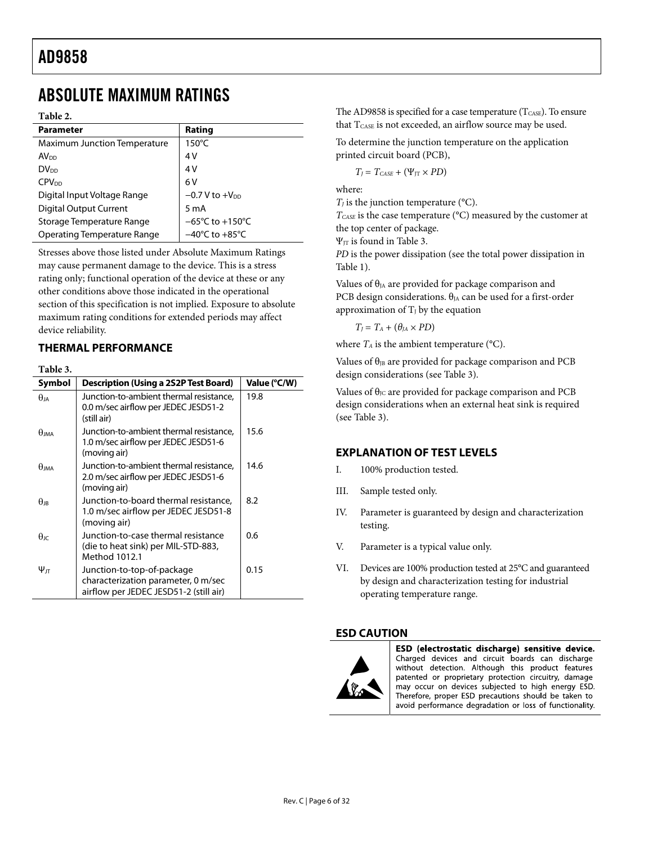### <span id="page-5-0"></span>ABSOLUTE MAXIMUM RATINGS

#### **Table 2.**

| <b>Parameter</b>                    | Rating                              |
|-------------------------------------|-------------------------------------|
| <b>Maximum Junction Temperature</b> | $150^{\circ}$ C                     |
| AV <sub>DD</sub>                    | 4 V                                 |
| DV <sub>DD</sub>                    | 4 V                                 |
| <b>CPV<sub>DD</sub></b>             | 6V                                  |
| Digital Input Voltage Range         | $-0.7$ V to $+V_{DD}$               |
| <b>Digital Output Current</b>       | 5 m A                               |
| Storage Temperature Range           | $-65^{\circ}$ C to $+150^{\circ}$ C |
| <b>Operating Temperature Range</b>  | $-40^{\circ}$ C to $+85^{\circ}$ C  |

Stresses above those listed under Absolute Maximum Ratings may cause permanent damage to the device. This is a stress rating only; functional operation of the device at these or any other conditions above those indicated in the operational section of this specification is not implied. Exposure to absolute maximum rating conditions for extended periods may affect device reliability.

### **THERMAL PERFORMANCE**

**Table 3.** 

<span id="page-5-1"></span>

| Symbol          | Description (Using a 2S2P Test Board)                                                                       | Value (°C/W) |
|-----------------|-------------------------------------------------------------------------------------------------------------|--------------|
| $\theta$ ia     | Junction-to-ambient thermal resistance,<br>0.0 m/sec airflow per JEDEC JESD51-2<br>(still air)              | 19.8         |
| $\theta$ ima    | Junction-to-ambient thermal resistance,<br>1.0 m/sec airflow per JEDEC JESD51-6<br>(moving air)             | 15.6         |
| $\theta$ ima    | Junction-to-ambient thermal resistance,<br>2.0 m/sec airflow per JEDEC JESD51-6<br>(moving air)             | 14.6         |
| $\theta$ ir     | Junction-to-board thermal resistance,<br>1.0 m/sec airflow per JEDEC JESD51-8<br>(moving air)               | 8.2          |
| $\theta$ ıc     | Junction-to-case thermal resistance<br>(die to heat sink) per MIL-STD-883,<br>Method 1012.1                 | 0.6          |
| $\Psi_{\rm ff}$ | Junction-to-top-of-package<br>characterization parameter, 0 m/sec<br>airflow per JEDEC JESD51-2 (still air) | 0.15         |

The AD9858 is specified for a case temperature ( $T_{\text{CASE}}$ ). To ensure that  $T_{\text{CASE}}$  is not exceeded, an airflow source may be used.

To determine the junction temperature on the application printed circuit board (PCB),

 $T_I = T_{CASE} + (\Psi_{IT} \times PD)$ 

where:

 $T_I$  is the junction temperature ( $\rm ^oC$ ).

*TCASE* is the case temperature (°C) measured by the customer at the top center of package.

 $\Psi_{JT}$  is found in [Table 3](#page-5-1).

*PD* is the power dissipation (see the total power dissipation in [Table 1](#page-2-1)).

Values of  $\theta$ <sub>JA</sub> are provided for package comparison and PCB design considerations.  $\theta_{JA}$  can be used for a first-order approximation of  $T_J$  by the equation

 $T_J = T_A + (\theta_J_A \times PD)$ 

where  $T_A$  is the ambient temperature ( $\rm ^{o}C$ ).

Values of  $\theta_{JB}$  are provided for package comparison and PCB design considerations (see [Table 3](#page-5-1)).

Values of  $\theta_{\text{JC}}$  are provided for package comparison and PCB design considerations when an external heat sink is required (see [Table 3](#page-5-1)).

### **EXPLANATION OF TEST LEVELS**

- I. 100% production tested.
- III. Sample tested only.
- IV. Parameter is guaranteed by design and characterization testing.
- V. Parameter is a typical value only.
- VI. Devices are 100% production tested at 25°C and guaranteed by design and characterization testing for industrial operating temperature range.

### **ESD CAUTION**



ESD (electrostatic discharge) sensitive device. Charged devices and circuit boards can discharge without detection. Although this product features patented or proprietary protection circuitry, damage may occur on devices subjected to high energy ESD. Therefore, proper ESD precautions should be taken to avoid performance degradation or loss of functionality.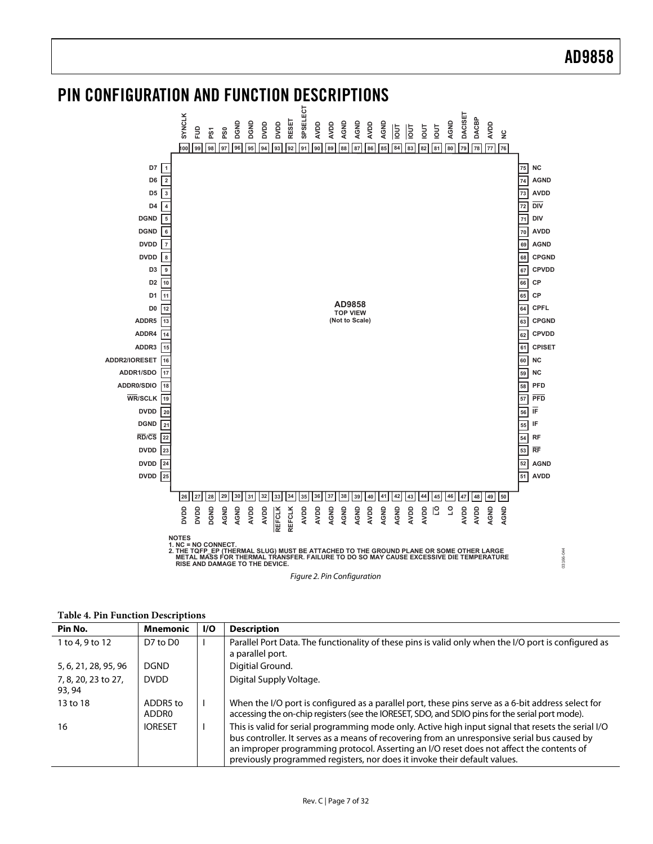### <span id="page-6-0"></span>PIN CONFIGURATION AND FUNCTION DESCRIPTIONS



Figure 2. Pin Configuration

| Pin No.                       | <b>Mnemonic</b>   | I/O | <b>Description</b>                                                                                                                                                                                                                                                                                                                                                           |
|-------------------------------|-------------------|-----|------------------------------------------------------------------------------------------------------------------------------------------------------------------------------------------------------------------------------------------------------------------------------------------------------------------------------------------------------------------------------|
| 1 to 4, 9 to 12               | D7 to $D0$        |     | Parallel Port Data. The functionality of these pins is valid only when the I/O port is configured as<br>a parallel port.                                                                                                                                                                                                                                                     |
| 5, 6, 21, 28, 95, 96          | <b>DGND</b>       |     | Digitial Ground.                                                                                                                                                                                                                                                                                                                                                             |
| 7, 8, 20, 23 to 27,<br>93, 94 | <b>DVDD</b>       |     | Digital Supply Voltage.                                                                                                                                                                                                                                                                                                                                                      |
| 13 to 18                      | ADDR5 to<br>ADDR0 |     | When the I/O port is configured as a parallel port, these pins serve as a 6-bit address select for<br>accessing the on-chip registers (see the IORESET, SDO, and SDIO pins for the serial port mode).                                                                                                                                                                        |
| 16                            | <b>IORESET</b>    |     | This is valid for serial programming mode only. Active high input signal that resets the serial I/O<br>bus controller. It serves as a means of recovering from an unresponsive serial bus caused by<br>an improper programming protocol. Asserting an I/O reset does not affect the contents of<br>previously programmed registers, nor does it invoke their default values. |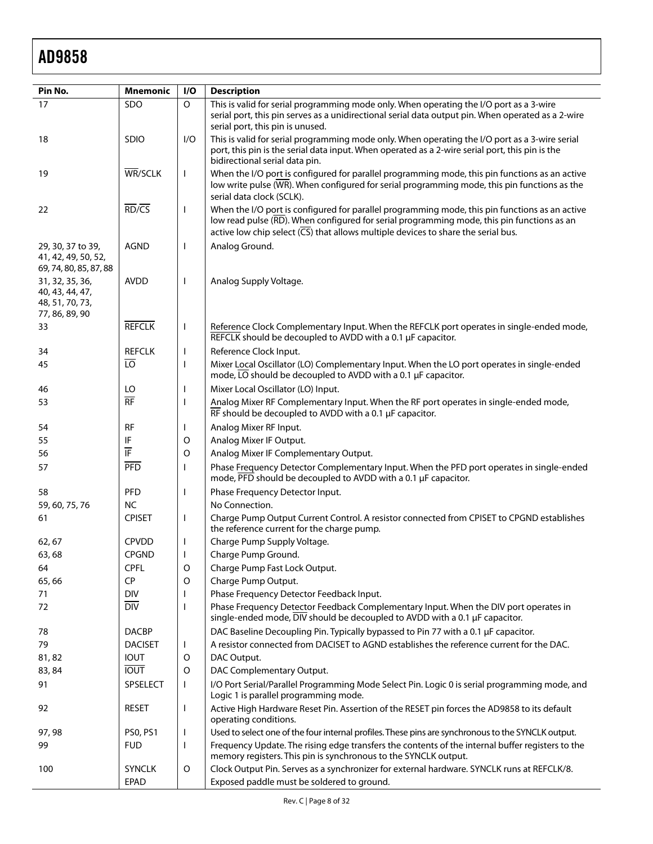| Pin No.                                   | <b>Mnemonic</b>                | I/O                      | <b>Description</b>                                                                                                                                                               |
|-------------------------------------------|--------------------------------|--------------------------|----------------------------------------------------------------------------------------------------------------------------------------------------------------------------------|
| 17                                        | SDO                            | $\circ$                  | This is valid for serial programming mode only. When operating the I/O port as a 3-wire                                                                                          |
|                                           |                                |                          | serial port, this pin serves as a unidirectional serial data output pin. When operated as a 2-wire                                                                               |
| 18                                        | <b>SDIO</b>                    | I/O                      | serial port, this pin is unused.<br>This is valid for serial programming mode only. When operating the I/O port as a 3-wire serial                                               |
|                                           |                                |                          | port, this pin is the serial data input. When operated as a 2-wire serial port, this pin is the                                                                                  |
|                                           |                                |                          | bidirectional serial data pin.                                                                                                                                                   |
| 19                                        | WR/SCLK                        | $\mathbf{I}$             | When the I/O port is configured for parallel programming mode, this pin functions as an active                                                                                   |
|                                           |                                |                          | low write pulse (WR). When configured for serial programming mode, this pin functions as the<br>serial data clock (SCLK).                                                        |
| 22                                        | $\overline{RD/CS}$             | $\mathbf{I}$             | When the I/O port is configured for parallel programming mode, this pin functions as an active                                                                                   |
|                                           |                                |                          | low read pulse (RD). When configured for serial programming mode, this pin functions as an                                                                                       |
|                                           |                                |                          | active low chip select $(\overline{CS})$ that allows multiple devices to share the serial bus.                                                                                   |
| 29, 30, 37 to 39,                         | <b>AGND</b>                    | $\mathbf{I}$             | Analog Ground.                                                                                                                                                                   |
| 41, 42, 49, 50, 52,                       |                                |                          |                                                                                                                                                                                  |
| 69, 74, 80, 85, 87, 88<br>31, 32, 35, 36, | <b>AVDD</b>                    | $\mathbf{I}$             | Analog Supply Voltage.                                                                                                                                                           |
| 40, 43, 44, 47,                           |                                |                          |                                                                                                                                                                                  |
| 48, 51, 70, 73,                           |                                |                          |                                                                                                                                                                                  |
| 77, 86, 89, 90                            |                                |                          |                                                                                                                                                                                  |
| 33                                        | <b>REFCLK</b>                  | $\mathbf{I}$             | Reference Clock Complementary Input. When the REFCLK port operates in single-ended mode,<br>REFCLK should be decoupled to AVDD with a 0.1 µF capacitor.                          |
| 34                                        | <b>REFCLK</b>                  | $\mathbf{I}$             | Reference Clock Input.                                                                                                                                                           |
| 45                                        | $\overline{10}$                | $\overline{\phantom{a}}$ | Mixer Local Oscillator (LO) Complementary Input. When the LO port operates in single-ended                                                                                       |
|                                           |                                |                          | mode, $\overline{LO}$ should be decoupled to AVDD with a 0.1 µF capacitor.                                                                                                       |
| 46                                        | LO                             | ı                        | Mixer Local Oscillator (LO) Input.                                                                                                                                               |
| 53                                        | $\overline{RF}$                | I                        | Analog Mixer RF Complementary Input. When the RF port operates in single-ended mode,<br>$\overline{\text{RF}}$ should be decoupled to AVDD with a 0.1 µF capacitor.              |
| 54                                        | <b>RF</b>                      | I                        | Analog Mixer RF Input.                                                                                                                                                           |
| 55                                        | IF                             | O                        | Analog Mixer IF Output.                                                                                                                                                          |
| 56                                        | ĪF                             | O                        | Analog Mixer IF Complementary Output.                                                                                                                                            |
| 57                                        | <b>PFD</b>                     | $\mathbf{I}$             | Phase Frequency Detector Complementary Input. When the PFD port operates in single-ended<br>mode, PFD should be decoupled to AVDD with a 0.1 µF capacitor.                       |
| 58                                        | PFD                            | ı                        | Phase Frequency Detector Input.                                                                                                                                                  |
| 59, 60, 75, 76                            | <b>NC</b>                      |                          | No Connection.                                                                                                                                                                   |
| 61                                        | <b>CPISET</b>                  | $\mathbf{I}$             | Charge Pump Output Current Control. A resistor connected from CPISET to CPGND establishes<br>the reference current for the charge pump.                                          |
| 62, 67                                    | <b>CPVDD</b>                   | $\mathbf{I}$             | Charge Pump Supply Voltage.                                                                                                                                                      |
| 63,68                                     | <b>CPGND</b>                   |                          | Charge Pump Ground.                                                                                                                                                              |
| 64                                        | <b>CPFL</b>                    | O                        | Charge Pump Fast Lock Output.                                                                                                                                                    |
| 65,66                                     | <b>CP</b>                      | O                        | Charge Pump Output.                                                                                                                                                              |
| 71                                        | <b>DIV</b><br>$\overline{DIV}$ |                          | Phase Frequency Detector Feedback Input.                                                                                                                                         |
| 72                                        |                                | I                        | Phase Frequency Detector Feedback Complementary Input. When the DIV port operates in<br>single-ended mode, $\overline{DIV}$ should be decoupled to AVDD with a 0.1 µF capacitor. |
| 78                                        | <b>DACBP</b>                   |                          | DAC Baseline Decoupling Pin. Typically bypassed to Pin 77 with a 0.1 µF capacitor.                                                                                               |
| 79                                        | <b>DACISET</b>                 | $\mathbf{I}$             | A resistor connected from DACISET to AGND establishes the reference current for the DAC.                                                                                         |
| 81,82                                     | <b>IOUT</b>                    | O                        | DAC Output.                                                                                                                                                                      |
| 83, 84                                    | <b>TUOI</b>                    | O                        | DAC Complementary Output.                                                                                                                                                        |
| 91                                        | SPSELECT                       | $\mathbf{I}$             | I/O Port Serial/Parallel Programming Mode Select Pin. Logic 0 is serial programming mode, and<br>Logic 1 is parallel programming mode.                                           |
| 92                                        | <b>RESET</b>                   | $\mathbf{I}$             | Active High Hardware Reset Pin. Assertion of the RESET pin forces the AD9858 to its default<br>operating conditions.                                                             |
| 97, 98                                    | PS0, PS1                       | $\mathbf{I}$             | Used to select one of the four internal profiles. These pins are synchronous to the SYNCLK output.                                                                               |
| 99                                        | <b>FUD</b>                     | $\mathsf{I}$             | Frequency Update. The rising edge transfers the contents of the internal buffer registers to the<br>memory registers. This pin is synchronous to the SYNCLK output.              |
| 100                                       | <b>SYNCLK</b>                  | O                        | Clock Output Pin. Serves as a synchronizer for external hardware. SYNCLK runs at REFCLK/8.                                                                                       |
|                                           | <b>EPAD</b>                    |                          | Exposed paddle must be soldered to ground.                                                                                                                                       |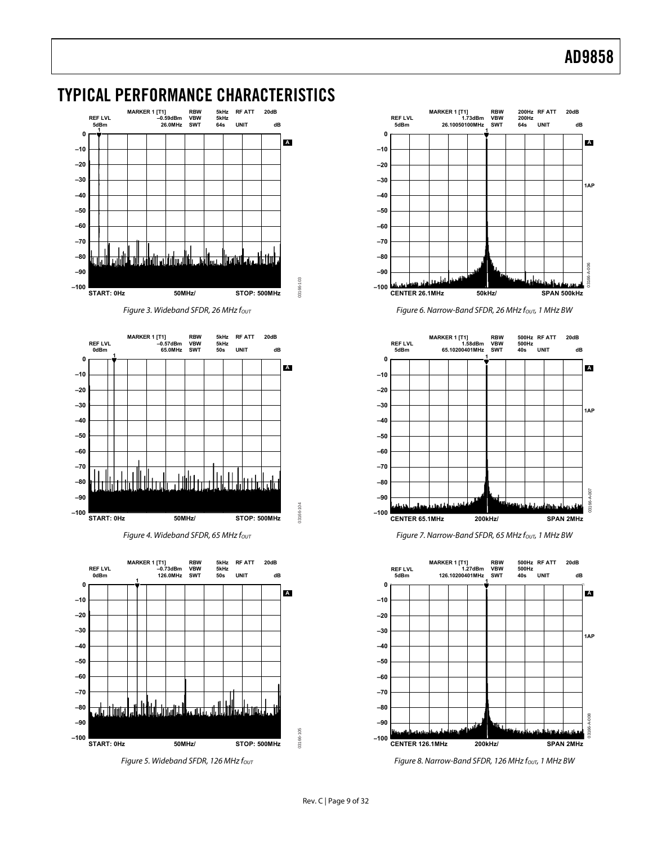

### <span id="page-8-0"></span>TYPICAL PERFORMANCE CHARACTERISTICS









Figure 3. Wideband SFDR, 26 MHz f<sub>out</sub> Figure 6. Narrow-Band SFDR, 26 MHz fout, 1 MHz BW



Figure 4. Wideband SFDR, 65 MHz f<sub>OUT</sub>  $F$  Figure 7. Narrow-Band SFDR, 65 MHz f<sub>OUT</sub>, 1 MHz BW



Figure 5. Wideband SFDR, 126 MHz f<sub>OUT</sub> Figure 8. Narrow-Band SFDR, 126 MHz f<sub>OUT</sub>, 1 MHz BW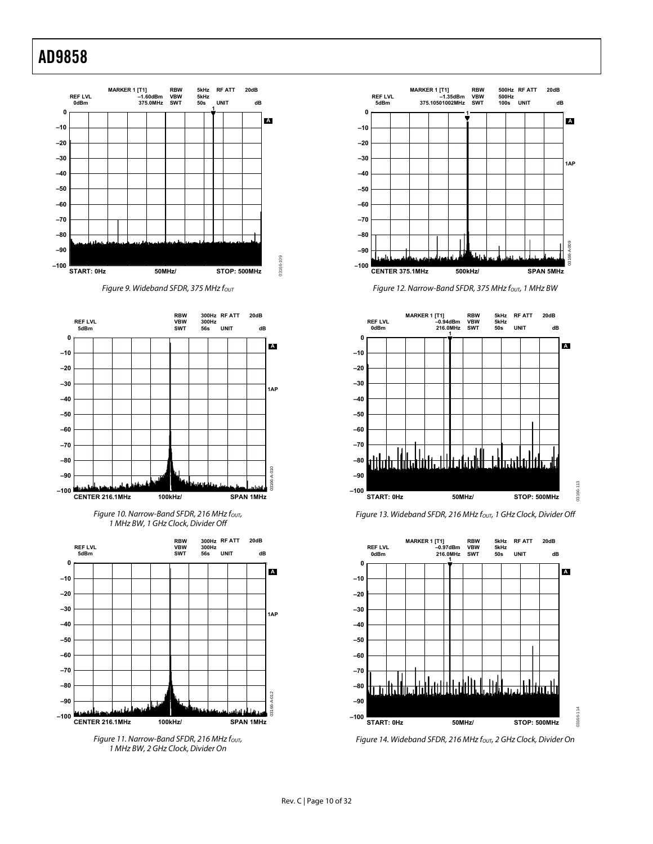

Figure 9. Wideband SFDR, 375 MHz fout



Figure 10. Narrow-Band SFDR, 216 MHz fout, 1 MHz BW, 1 GHz Clock, Divider Off



Figure 11. Narrow-Band SFDR, 216 MHz fout, 1 MHz BW, 2 GHz Clock, Divider On



Figure 12. Narrow-Band SFDR, 375 MHz fout, 1 MHz BW







Figure 14. Wideband SFDR, 216 MHz fout, 2 GHz Clock, Divider On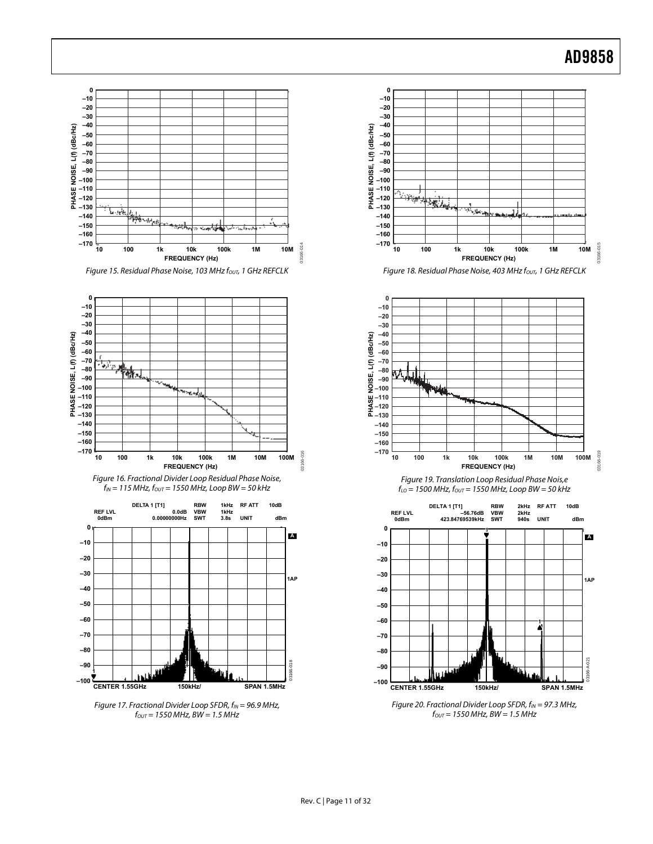







<span id="page-10-1"></span><span id="page-10-0"></span>Figure 17. Fractional Divider Loop SFDR,  $f_{IN} = 96.9$  MHz,  $f_{OUT} = 1550 \text{ MHz}, BW = 1.5 \text{ MHz}$ 







Figure 19. Translation Loop Residual Phase Nois,e  $f_{LO}$  = 1500 MHz,  $f_{OUT}$  = 1550 MHz, Loop BW = 50 kHz



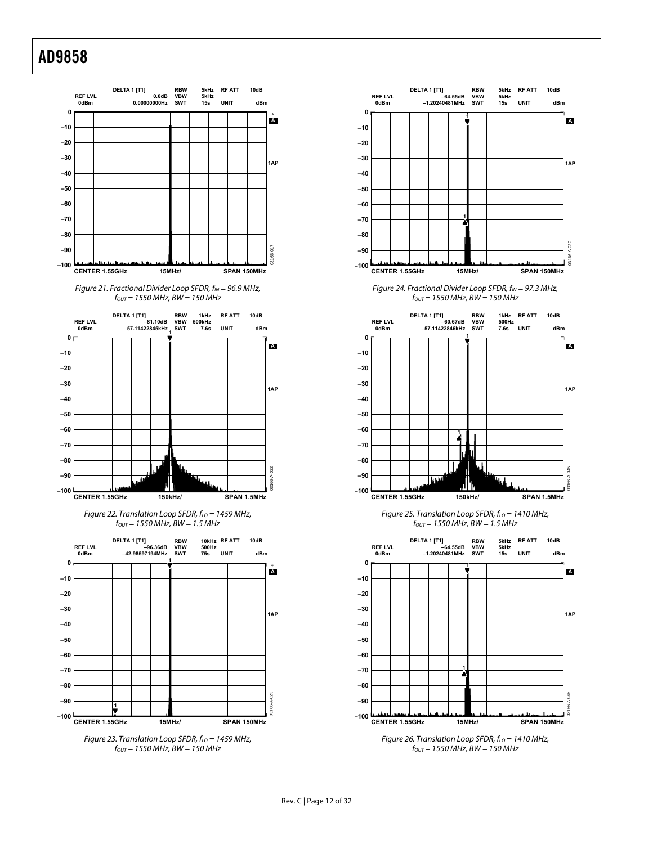

Figure 21. Fractional Divider Loop SFDR,  $f_{IN} = 96.9$  MHz,  $f_{OUT} = 1550$  MHz, BW = 150 MHz

<span id="page-11-0"></span>

Figure 22. Translation Loop SFDR,  $f_{LO}$  = 1459 MHz,  $f_{OUT}$  = 1550 MHz, BW = 1.5 MHz

<span id="page-11-1"></span>

<span id="page-11-2"></span>



Figure 24. Fractional Divider Loop SFDR,  $f_{IN} = 97.3$  MHz,  $f_{OUT} = 1550$  MHz, BW = 150 MHz



Figure 25. Translation Loop SFDR,  $f_{LO}$  = 1410 MHz,  $f_{OUT}$  = 1550 MHz, BW = 1.5 MHz



 $f_{OUT} = 1550$  MHz, BW = 150 MHz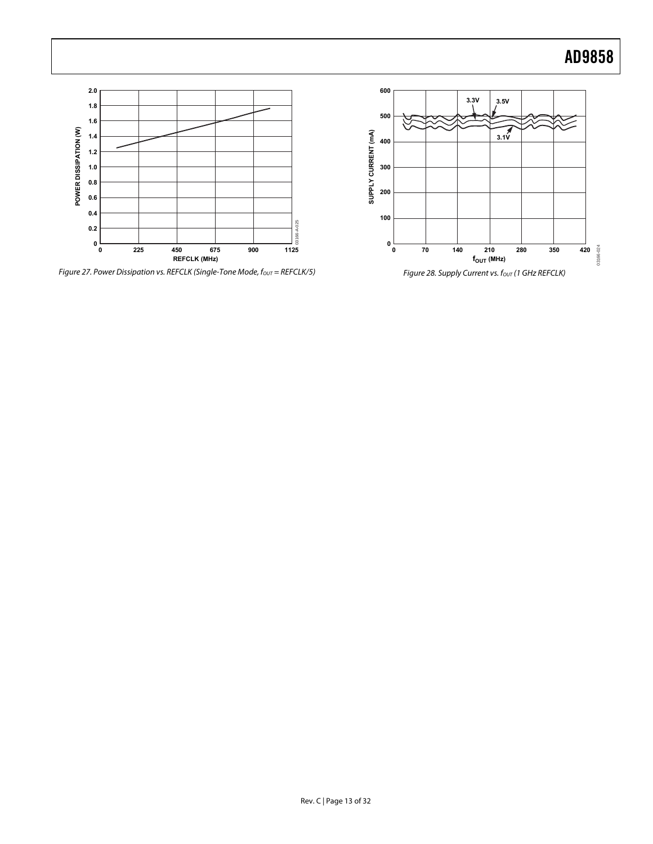

Figure 27. Power Dissipation vs. REFCLK (Single-Tone Mode,  $f_{\text{OUT}} =$  REFCLK/5) Figure 28. Supply Current vs.  $f_{\text{OUT}}$  (1 GHz REFCLK)

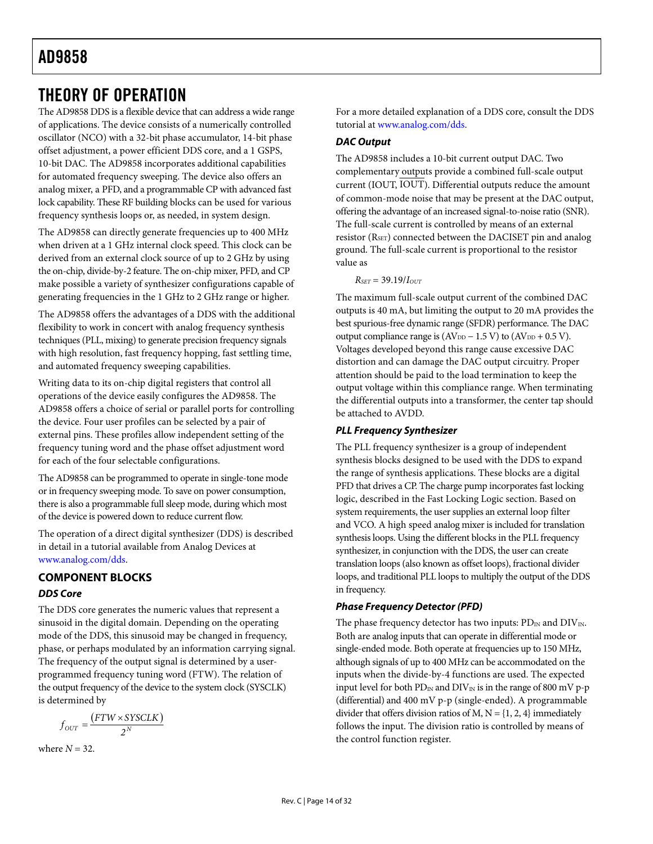### <span id="page-13-0"></span>THEORY OF OPERATION

The AD9858 DDS is a flexible device that can address a wide range of applications. The device consists of a numerically controlled oscillator (NCO) with a 32-bit phase accumulator, 14-bit phase offset adjustment, a power efficient DDS core, and a 1 GSPS, 10-bit DAC. The AD9858 incorporates additional capabilities for automated frequency sweeping. The device also offers an analog mixer, a PFD, and a programmable CP with advanced fast lock capability. These RF building blocks can be used for various frequency synthesis loops or, as needed, in system design.

The AD9858 can directly generate frequencies up to 400 MHz when driven at a 1 GHz internal clock speed. This clock can be derived from an external clock source of up to 2 GHz by using the on-chip, divide-by-2 feature. The on-chip mixer, PFD, and CP make possible a variety of synthesizer configurations capable of generating frequencies in the 1 GHz to 2 GHz range or higher.

The AD9858 offers the advantages of a DDS with the additional flexibility to work in concert with analog frequency synthesis techniques (PLL, mixing) to generate precision frequency signals with high resolution, fast frequency hopping, fast settling time, and automated frequency sweeping capabilities.

Writing data to its on-chip digital registers that control all operations of the device easily configures the AD9858. The AD9858 offers a choice of serial or parallel ports for controlling the device. Four user profiles can be selected by a pair of external pins. These profiles allow independent setting of the frequency tuning word and the phase offset adjustment word for each of the four selectable configurations.

The AD9858 can be programmed to operate in single-tone mode or in frequency sweeping mode. To save on power consumption, there is also a programmable full sleep mode, during which most of the device is powered down to reduce current flow.

The operation of a direct digital synthesizer (DDS) is described in detail in a tutorial available from Analog Devices at [www.analog.com/dds.](http://www.analog.com/dds)

### **COMPONENT BLOCKS DDS Core**

The DDS core generates the numeric values that represent a sinusoid in the digital domain. Depending on the operating mode of the DDS, this sinusoid may be changed in frequency, phase, or perhaps modulated by an information carrying signal. The frequency of the output signal is determined by a userprogrammed frequency tuning word (FTW). The relation of the output frequency of the device to the system clock (SYSCLK) is determined by

$$
f_{OUT} = \frac{(FTW \times SYSCLK)}{2^N}
$$

where  $N = 32$ .

For a more detailed explanation of a DDS core, consult the DDS tutorial at [www.analog.com/dds.](www.analog.com/dds)

### **DAC Output**

The AD9858 includes a 10-bit current output DAC. Two complementary outputs provide a combined full-scale output current (IOUT, IOUT). Differential outputs reduce the amount of common-mode noise that may be present at the DAC output, offering the advantage of an increased signal-to-noise ratio (SNR). The full-scale current is controlled by means of an external resistor (R<sub>SET</sub>) connected between the DACISET pin and analog ground. The full-scale current is proportional to the resistor value as

 $R_{SET} = 39.19 / I_{OUT}$ 

The maximum full-scale output current of the combined DAC outputs is 40 mA, but limiting the output to 20 mA provides the best spurious-free dynamic range (SFDR) performance. The DAC output compliance range is  $(AV_{DD} - 1.5 V)$  to  $(AV_{DD} + 0.5 V)$ . Voltages developed beyond this range cause excessive DAC distortion and can damage the DAC output circuitry. Proper attention should be paid to the load termination to keep the output voltage within this compliance range. When terminating the differential outputs into a transformer, the center tap should be attached to AVDD.

### **PLL Frequency Synthesizer**

The PLL frequency synthesizer is a group of independent synthesis blocks designed to be used with the DDS to expand the range of synthesis applications. These blocks are a digital PFD that drives a CP. The charge pump incorporates fast locking logic, described in the [Fast Locking Logic](#page-14-0) section. Based on system requirements, the user supplies an external loop filter and VCO. A high speed analog mixer is included for translation synthesis loops. Using the different blocks in the PLL frequency synthesizer, in conjunction with the DDS, the user can create translation loops (also known as offset loops), fractional divider loops, and traditional PLL loops to multiply the output of the DDS in frequency.

### **Phase Frequency Detector (PFD)**

The phase frequency detector has two inputs:  $PD_{IN}$  and  $DIV_{IN}$ . Both are analog inputs that can operate in differential mode or single-ended mode. Both operate at frequencies up to 150 MHz, although signals of up to 400 MHz can be accommodated on the inputs when the divide-by-4 functions are used. The expected input level for both  $PD_{IN}$  and  $DIV_{IN}$  is in the range of 800 mV p-p (differential) and 400 mV p-p (single-ended). A programmable divider that offers division ratios of M,  $N = \{1, 2, 4\}$  immediately follows the input. The division ratio is controlled by means of the control function register.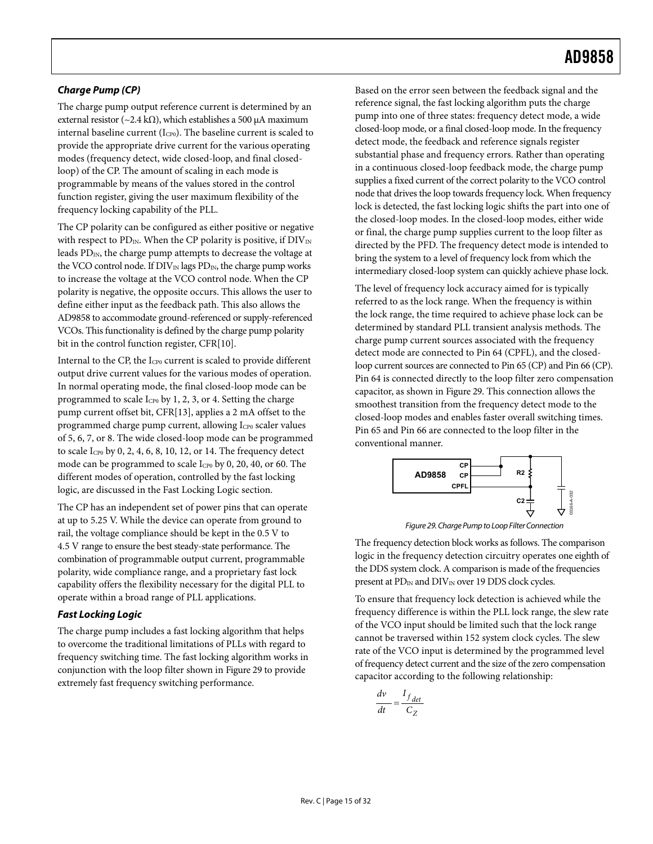### **Charge Pump (CP)**

<span id="page-14-2"></span>The charge pump output reference current is determined by an external resistor (~2.4 kΩ), which establishes a 500 μA maximum internal baseline current (I<sub>CP0</sub>). The baseline current is scaled to provide the appropriate drive current for the various operating modes (frequency detect, wide closed-loop, and final closedloop) of the CP. The amount of scaling in each mode is programmable by means of the values stored in the control function register, giving the user maximum flexibility of the frequency locking capability of the PLL.

The CP polarity can be configured as either positive or negative with respect to PD<sub>IN</sub>. When the CP polarity is positive, if  $\text{DIV}_{\text{IN}}$ leads  $PD_{IN}$ , the charge pump attempts to decrease the voltage at the VCO control node. If  $DIV_{IN}$  lags  $PD_{IN}$ , the charge pump works to increase the voltage at the VCO control node. When the CP polarity is negative, the opposite occurs. This allows the user to define either input as the feedback path. This also allows the AD9858 to accommodate ground-referenced or supply-referenced VCOs. This functionality is defined by the charge pump polarity bit in the control function register, CFR[10].

Internal to the CP, the Icpo current is scaled to provide different output drive current values for the various modes of operation. In normal operating mode, the final closed-loop mode can be programmed to scale  $I_{CP0}$  by 1, 2, 3, or 4. Setting the charge pump current offset bit, CFR[13], applies a 2 mA offset to the programmed charge pump current, allowing I<sub>CP0</sub> scaler values of 5, 6, 7, or 8. The wide closed-loop mode can be programmed to scale  $I_{CP0}$  by 0, 2, 4, 6, 8, 10, 12, or 14. The frequency detect mode can be programmed to scale I<sub>CP0</sub> by 0, 20, 40, or 60. The different modes of operation, controlled by the fast locking logic, are discussed in the [Fast Locking Logic](#page-14-0) section.

<span id="page-14-1"></span>The CP has an independent set of power pins that can operate at up to 5.25 V. While the device can operate from ground to rail, the voltage compliance should be kept in the 0.5 V to 4.5 V range to ensure the best steady-state performance. The combination of programmable output current, programmable polarity, wide compliance range, and a proprietary fast lock capability offers the flexibility necessary for the digital PLL to operate within a broad range of PLL applications.

### <span id="page-14-0"></span>**Fast Locking Logic**

The charge pump includes a fast locking algorithm that helps to overcome the traditional limitations of PLLs with regard to frequency switching time. The fast locking algorithm works in conjunction with the loop filter shown in [Figure 29](#page-14-1) to provide extremely fast frequency switching performance.

Based on the error seen between the feedback signal and the reference signal, the fast locking algorithm puts the charge pump into one of three states: frequency detect mode, a wide closed-loop mode, or a final closed-loop mode. In the frequency detect mode, the feedback and reference signals register substantial phase and frequency errors. Rather than operating in a continuous closed-loop feedback mode, the charge pump supplies a fixed current of the correct polarity to the VCO control node that drives the loop towards frequency lock. When frequency lock is detected, the fast locking logic shifts the part into one of the closed-loop modes. In the closed-loop modes, either wide or final, the charge pump supplies current to the loop filter as directed by the PFD. The frequency detect mode is intended to bring the system to a level of frequency lock from which the intermediary closed-loop system can quickly achieve phase lock.

The level of frequency lock accuracy aimed for is typically referred to as the lock range. When the frequency is within the lock range, the time required to achieve phase lock can be determined by standard PLL transient analysis methods. The charge pump current sources associated with the frequency detect mode are connected to Pin 64 (CPFL), and the closedloop current sources are connected to Pin 65 (CP) and Pin 66 (CP). Pin 64 is connected directly to the loop filter zero compensation capacitor, as shown in [Figure 29](#page-14-1). This connection allows the smoothest transition from the frequency detect mode to the closed-loop modes and enables faster overall switching times. Pin 65 and Pin 66 are connected to the loop filter in the conventional manner.



Figure 29. Charge Pump to Loop Filter Connection

The frequency detection block works as follows. The comparison logic in the frequency detection circuitry operates one eighth of the DDS system clock. A comparison is made of the frequencies present at  $PD_{IN}$  and  $DIV_{IN}$  over 19 DDS clock cycles.

To ensure that frequency lock detection is achieved while the frequency difference is within the PLL lock range, the slew rate of the VCO input should be limited such that the lock range cannot be traversed within 152 system clock cycles. The slew rate of the VCO input is determined by the programmed level of frequency detect current and the size of the zero compensation capacitor according to the following relationship:

$$
\frac{dv}{dt} = \frac{I_{f\,det}}{C_Z}
$$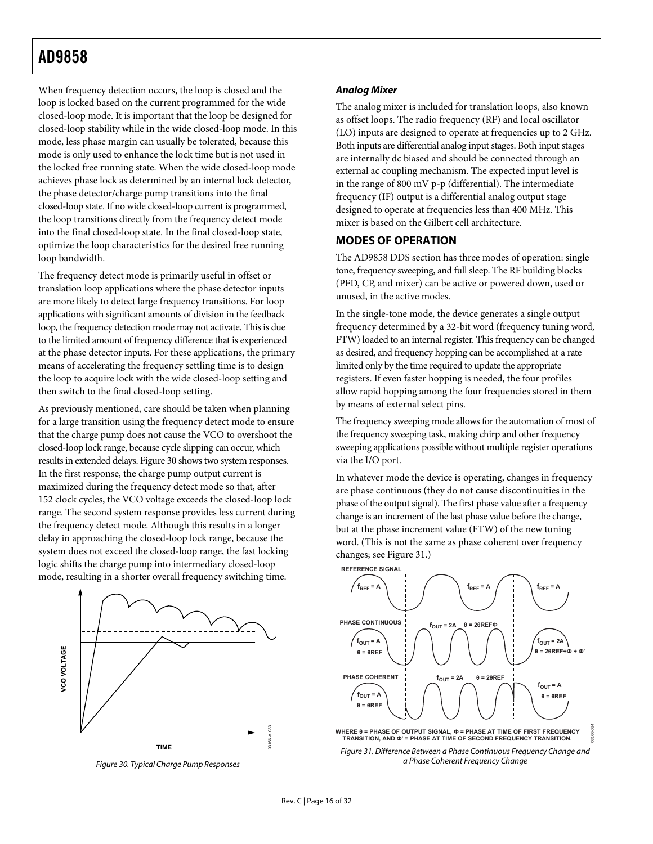<span id="page-15-0"></span>When frequency detection occurs, the loop is closed and the loop is locked based on the current programmed for the wide closed-loop mode. It is important that the loop be designed for closed-loop stability while in the wide closed-loop mode. In this mode, less phase margin can usually be tolerated, because this mode is only used to enhance the lock time but is not used in the locked free running state. When the wide closed-loop mode achieves phase lock as determined by an internal lock detector, the phase detector/charge pump transitions into the final closed-loop state. If no wide closed-loop current is programmed, the loop transitions directly from the frequency detect mode into the final closed-loop state. In the final closed-loop state, optimize the loop characteristics for the desired free running loop bandwidth.

The frequency detect mode is primarily useful in offset or translation loop applications where the phase detector inputs are more likely to detect large frequency transitions. For loop applications with significant amounts of division in the feedback loop, the frequency detection mode may not activate. This is due to the limited amount of frequency difference that is experienced at the phase detector inputs. For these applications, the primary means of accelerating the frequency settling time is to design the loop to acquire lock with the wide closed-loop setting and then switch to the final closed-loop setting.

As previously mentioned, care should be taken when planning for a large transition using the frequency detect mode to ensure that the charge pump does not cause the VCO to overshoot the closed-loop lock range, because cycle slipping can occur, which results in extended delays. [Figure 30](#page-15-1) shows two system responses. In the first response, the charge pump output current is maximized during the frequency detect mode so that, after 152 clock cycles, the VCO voltage exceeds the closed-loop lock range. The second system response provides less current during the frequency detect mode. Although this results in a longer delay in approaching the closed-loop lock range, because the system does not exceed the closed-loop range, the fast locking logic shifts the charge pump into intermediary closed-loop mode, resulting in a shorter overall frequency switching time.



<span id="page-15-2"></span><span id="page-15-1"></span>Figure 30. Typical Charge Pump Responses

#### **Analog Mixer**

The analog mixer is included for translation loops, also known as offset loops. The radio frequency (RF) and local oscillator (LO) inputs are designed to operate at frequencies up to 2 GHz. Both inputs are differential analog input stages. Both input stages are internally dc biased and should be connected through an external ac coupling mechanism. The expected input level is in the range of 800 mV p-p (differential). The intermediate frequency (IF) output is a differential analog output stage designed to operate at frequencies less than 400 MHz. This mixer is based on the Gilbert cell architecture.

### **MODES OF OPERATION**

The AD9858 DDS section has three modes of operation: single tone, frequency sweeping, and full sleep. The RF building blocks (PFD, CP, and mixer) can be active or powered down, used or unused, in the active modes.

In the single-tone mode, the device generates a single output frequency determined by a 32-bit word (frequency tuning word, FTW) loaded to an internal register. This frequency can be changed as desired, and frequency hopping can be accomplished at a rate limited only by the time required to update the appropriate registers. If even faster hopping is needed, the four profiles allow rapid hopping among the four frequencies stored in them by means of external select pins.

The frequency sweeping mode allows for the automation of most of the frequency sweeping task, making chirp and other frequency sweeping applications possible without multiple register operations via the I/O port.

In whatever mode the device is operating, changes in frequency are phase continuous (they do not cause discontinuities in the phase of the output signal). The first phase value after a frequency change is an increment of the last phase value before the change, but at the phase increment value (FTW) of the new tuning word. (This is not the same as phase coherent over frequency changes; see [Figure 31.](#page-15-2))



a Phase Coherent Frequency Change

03166-034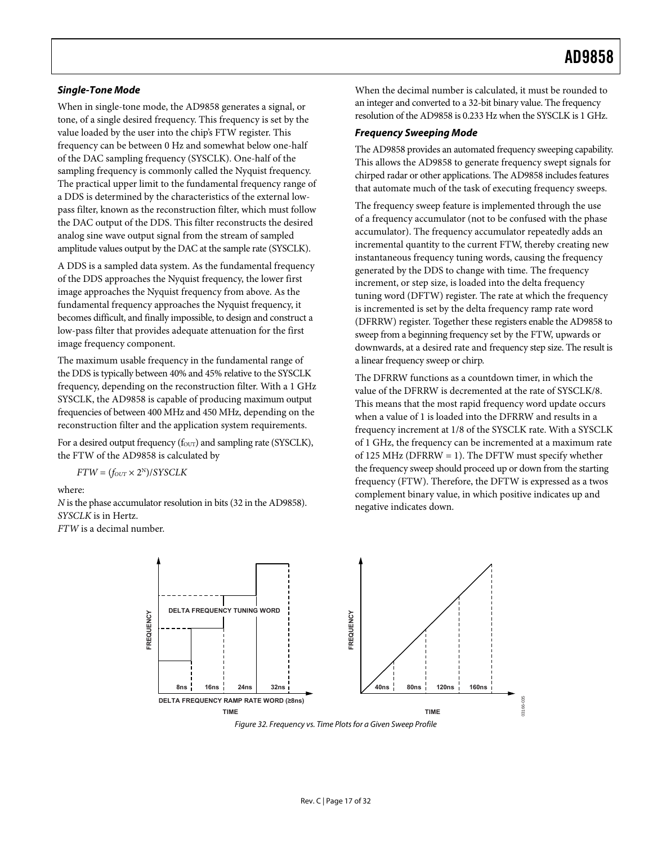tone, of a single desired frequency. This frequency is set by the value loaded by the user into the chip's FTW register. This frequency can be between 0 Hz and somewhat below one-half of the DAC sampling frequency (SYSCLK). One-half of the sampling frequency is commonly called the Nyquist frequency. The practical upper limit to the fundamental frequency range of a DDS is determined by the characteristics of the external lowpass filter, known as the reconstruction filter, which must follow the DAC output of the DDS. This filter reconstructs the desired analog sine wave output signal from the stream of sampled amplitude values output by the DAC at the sample rate (SYSCLK).

A DDS is a sampled data system. As the fundamental frequency of the DDS approaches the Nyquist frequency, the lower first image approaches the Nyquist frequency from above. As the fundamental frequency approaches the Nyquist frequency, it becomes difficult, and finally impossible, to design and construct a low-pass filter that provides adequate attenuation for the first image frequency component.

The maximum usable frequency in the fundamental range of the DDS is typically between 40% and 45% relative to the SYSCLK frequency, depending on the reconstruction filter. With a 1 GHz SYSCLK, the AD9858 is capable of producing maximum output frequencies of between 400 MHz and 450 MHz, depending on the reconstruction filter and the application system requirements.

For a desired output frequency ( $f_{\text{OUT}}$ ) and sampling rate (SYSCLK), the FTW of the AD9858 is calculated by

 $FTW = (f_{OUT} \times 2^N)/SYSCLK$ 

where:

*N* is the phase accumulator resolution in bits (32 in the AD9858). *SYSCLK* is in Hertz.

*FTW* is a decimal number.

**Single-Tone Mode Single-Tone Mode Single-Tone Mode When the decimal number is calculated, it must be rounded to** an integer and converted to a 32-bit binary value. The frequency When in single-tone mode, the AD9858 generates a signal, or an integer and converted to a 32-bit binary value. The frequency<br>tone of a single-desired frequency. This frequency is set by the resolution of the AD9858 is 0.23

#### **Frequency Sweeping Mode**

The AD9858 provides an automated frequency sweeping capability. This allows the AD9858 to generate frequency swept signals for chirped radar or other applications. The AD9858 includes features that automate much of the task of executing frequency sweeps.

The frequency sweep feature is implemented through the use of a frequency accumulator (not to be confused with the phase accumulator). The frequency accumulator repeatedly adds an incremental quantity to the current FTW, thereby creating new instantaneous frequency tuning words, causing the frequency generated by the DDS to change with time. The frequency increment, or step size, is loaded into the delta frequency tuning word (DFTW) register. The rate at which the frequency is incremented is set by the delta frequency ramp rate word (DFRRW) register. Together these registers enable the AD9858 to sweep from a beginning frequency set by the FTW, upwards or downwards, at a desired rate and frequency step size. The result is a linear frequency sweep or chirp.

The DFRRW functions as a countdown timer, in which the value of the DFRRW is decremented at the rate of SYSCLK/8. This means that the most rapid frequency word update occurs when a value of 1 is loaded into the DFRRW and results in a frequency increment at 1/8 of the SYSCLK rate. With a SYSCLK of 1 GHz, the frequency can be incremented at a maximum rate of 125 MHz (DFRRW = 1). The DFTW must specify whether the frequency sweep should proceed up or down from the starting frequency (FTW). Therefore, the DFTW is expressed as a twos complement binary value, in which positive indicates up and negative indicates down.



Figure 32. Frequency vs. Time Plots for a Given Sweep Profile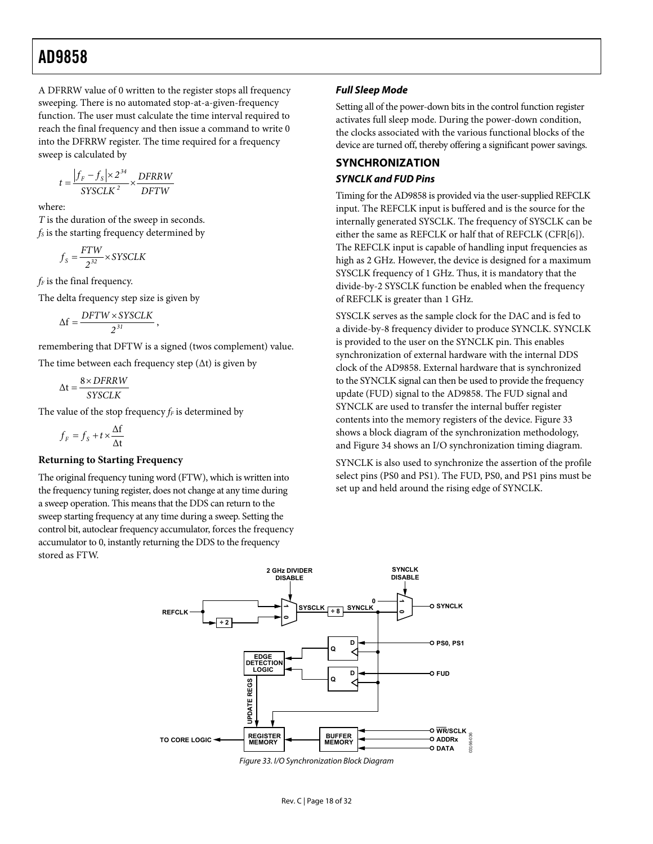<span id="page-17-0"></span>A DFRRW value of 0 written to the register stops all frequency sweeping. There is no automated stop-at-a-given-frequency function. The user must calculate the time interval required to reach the final frequency and then issue a command to write 0 into the DFRRW register. The time required for a frequency sweep is calculated by

$$
t = \frac{|f_F - f_S| \times 2^{34}}{SYSCLK^2} \times \frac{DFRRW}{DFTW}
$$

where:

*T* is the duration of the sweep in seconds. *fs* is the starting frequency determined by

$$
f_{S} = \frac{FTW}{2^{32}} \times SYSCLK
$$

*f<sub>F</sub>* is the final frequency.

The delta frequency step size is given by

$$
\Delta f = \frac{DFTW \times SYSCLK}{2^{31}},
$$

remembering that DFTW is a signed (twos complement) value.

The time between each frequency step  $(\Delta t)$  is given by

$$
\Delta t = \frac{8 \times DFRRW}{SYSCLK}
$$

The value of the stop frequency  $f_F$  is determined by

$$
f_F = f_S + t \times \frac{\Delta f}{\Delta t}
$$

#### **Returning to Starting Frequency**

The original frequency tuning word (FTW), which is written into the frequency tuning register, does not change at any time during a sweep operation. This means that the DDS can return to the sweep starting frequency at any time during a sweep. Setting the control bit, autoclear frequency accumulator, forces the frequency accumulator to 0, instantly returning the DDS to the frequency stored as FTW.

#### **Full Sleep Mode**

Setting all of the power-down bits in the control function register activates full sleep mode. During the power-down condition, the clocks associated with the various functional blocks of the device are turned off, thereby offering a significant power savings.

### **SYNCHRONIZATION SYNCLK and FUD Pins**

Timing for the AD9858 is provided via the user-supplied REFCLK input. The REFCLK input is buffered and is the source for the internally generated SYSCLK. The frequency of SYSCLK can be either the same as REFCLK or half that of REFCLK (CFR[6]). The REFCLK input is capable of handling input frequencies as high as 2 GHz. However, the device is designed for a maximum SYSCLK frequency of 1 GHz. Thus, it is mandatory that the divide-by-2 SYSCLK function be enabled when the frequency of REFCLK is greater than 1 GHz.

SYSCLK serves as the sample clock for the DAC and is fed to a divide-by-8 frequency divider to produce SYNCLK. SYNCLK is provided to the user on the SYNCLK pin. This enables synchronization of external hardware with the internal DDS clock of the AD9858. External hardware that is synchronized to the SYNCLK signal can then be used to provide the frequency update (FUD) signal to the AD9858. The FUD signal and SYNCLK are used to transfer the internal buffer register contents into the memory registers of the device. [Figure 33](#page-17-1) shows a block diagram of the synchronization methodology, and [Figure 34](#page-18-2) shows an I/O synchronization timing diagram.

SYNCLK is also used to synchronize the assertion of the profile select pins (PS0 and PS1). The FUD, PS0, and PS1 pins must be set up and held around the rising edge of SYNCLK.



<span id="page-17-1"></span>Figure 33. I/O Synchronization Block Diagram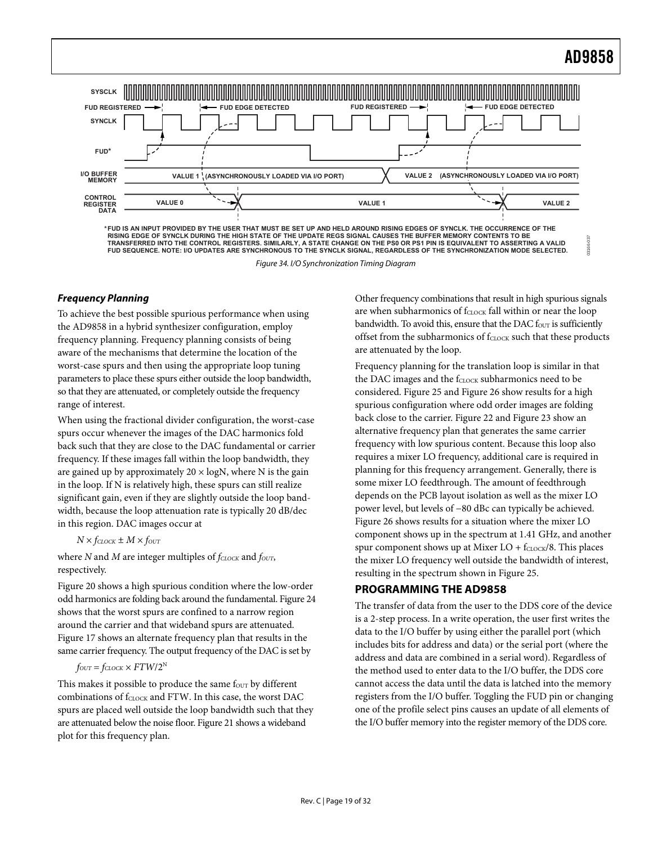03166-037

<span id="page-18-1"></span><span id="page-18-0"></span>

**FUD SEQUENCE. NOTE: I/O UPDATES ARE SYNCHRONOUS TO THE SYNCLK SIGNAL, REGARDLESS OF THE SYNCHRONIZATION MODE SELECTED.**

Figure 34. I/O Synchronization Timing Diagram

### <span id="page-18-2"></span>**Frequency Planning**

To achieve the best possible spurious performance when using the AD9858 in a hybrid synthesizer configuration, employ frequency planning. Frequency planning consists of being aware of the mechanisms that determine the location of the worst-case spurs and then using the appropriate loop tuning parameters to place these spurs either outside the loop bandwidth, so that they are attenuated, or completely outside the frequency range of interest.

When using the fractional divider configuration, the worst-case spurs occur whenever the images of the DAC harmonics fold back such that they are close to the DAC fundamental or carrier frequency. If these images fall within the loop bandwidth, they are gained up by approximately  $20 \times logN$ , where N is the gain in the loop. If N is relatively high, these spurs can still realize significant gain, even if they are slightly outside the loop bandwidth, because the loop attenuation rate is typically 20 dB/dec in this region. DAC images occur at

```
N \times f_{\text{CLOCK}} \pm M \times f_{\text{OUT}}
```
where *N* and *M* are integer multiples of *fCLOCK* and *four*, respectively.

[Figure 20](#page-10-0) shows a high spurious condition where the low-order odd harmonics are folding back around the fundamental. [Figure 24](#page-11-0) shows that the worst spurs are confined to a narrow region around the carrier and that wideband spurs are attenuated. [Figure 17](#page-10-1) shows an alternate frequency plan that results in the same carrier frequency. The output frequency of the DAC is set by

### $f_{OUT} = f_{CLOCK} \times FTW/2^N$

This makes it possible to produce the same four by different combinations of fCLOCK and FTW. In this case, the worst DAC spurs are placed well outside the loop bandwidth such that they are attenuated below the noise floor. [Figure 21](#page-11-0) shows a wideband plot for this frequency plan.

Other frequency combinations that result in high spurious signals are when subharmonics of fCLOCK fall within or near the loop bandwidth. To avoid this, ensure that the DAC  $f_{\text{OUT}}$  is sufficiently offset from the subharmonics of f<sub>CLOCK</sub> such that these products are attenuated by the loop.

Frequency planning for the translation loop is similar in that the DAC images and the fCLOCK subharmonics need to be considered. [Figure 25](#page-11-1) and [Figure 26](#page-11-2) show results for a high spurious configuration where odd order images are folding back close to the carrier. [Figure 22](#page-11-1) and [Figure 23](#page-11-2) show an alternative frequency plan that generates the same carrier frequency with low spurious content. Because this loop also requires a mixer LO frequency, additional care is required in planning for this frequency arrangement. Generally, there is some mixer LO feedthrough. The amount of feedthrough depends on the PCB layout isolation as well as the mixer LO power level, but levels of −80 dBc can typically be achieved. [Figure 26](#page-11-2) shows results for a situation where the mixer LO component shows up in the spectrum at 1.41 GHz, and another spur component shows up at Mixer  $LO + f_{CLOCK}/8$ . This places the mixer LO frequency well outside the bandwidth of interest, resulting in the spectrum shown in [Figure 25](#page-11-1).

### **PROGRAMMING THE AD9858**

The transfer of data from the user to the DDS core of the device is a 2-step process. In a write operation, the user first writes the data to the I/O buffer by using either the parallel port (which includes bits for address and data) or the serial port (where the address and data are combined in a serial word). Regardless of the method used to enter data to the I/O buffer, the DDS core cannot access the data until the data is latched into the memory registers from the I/O buffer. Toggling the FUD pin or changing one of the profile select pins causes an update of all elements of the I/O buffer memory into the register memory of the DDS core.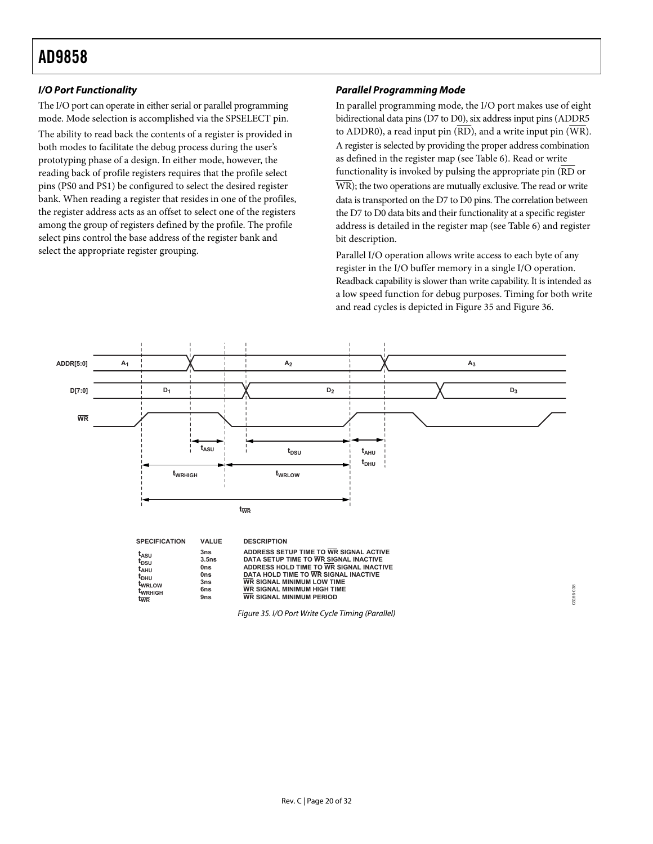### <span id="page-19-0"></span>**I/O Port Functionality**

The I/O port can operate in either serial or parallel programming mode. Mode selection is accomplished via the SPSELECT pin.

The ability to read back the contents of a register is provided in both modes to facilitate the debug process during the user's prototyping phase of a design. In either mode, however, the reading back of profile registers requires that the profile select pins (PS0 and PS1) be configured to select the desired register bank. When reading a register that resides in one of the profiles, the register address acts as an offset to select one of the registers among the group of registers defined by the profile. The profile select pins control the base address of the register bank and select the appropriate register grouping.

### **Parallel Programming Mode**

In parallel programming mode, the I/O port makes use of eight bidirectional data pins (D7 to D0), six address input pins (ADDR5 to ADDR0), a read input pin  $(\overline{RD})$ , and a write input pin  $(\overline{WR})$ . A register is selected by providing the proper address combination asdefined in the register map (see Table 6). Read or write functionality is invoked by pulsing the appropriate pin ( RD or WR); the two operations are mutually exclusive. The read or write data is transported on the D7 to D0 pins. The correlation between the D7 to D0 data bits and their functionality at a specific register address is detailed in the register map (see Table 6) and register bit description.

Parallel I/O operation allows write access to each byte of any register in the I/O buffer memory in a single I/O operation. Readback capability is slower than write capability. It is intended as a low speed function for debug purposes. Timing for both write and read cycles is depicted in [Figure 35](#page-19-1) and [Figure 36](#page-20-1).

<span id="page-19-1"></span>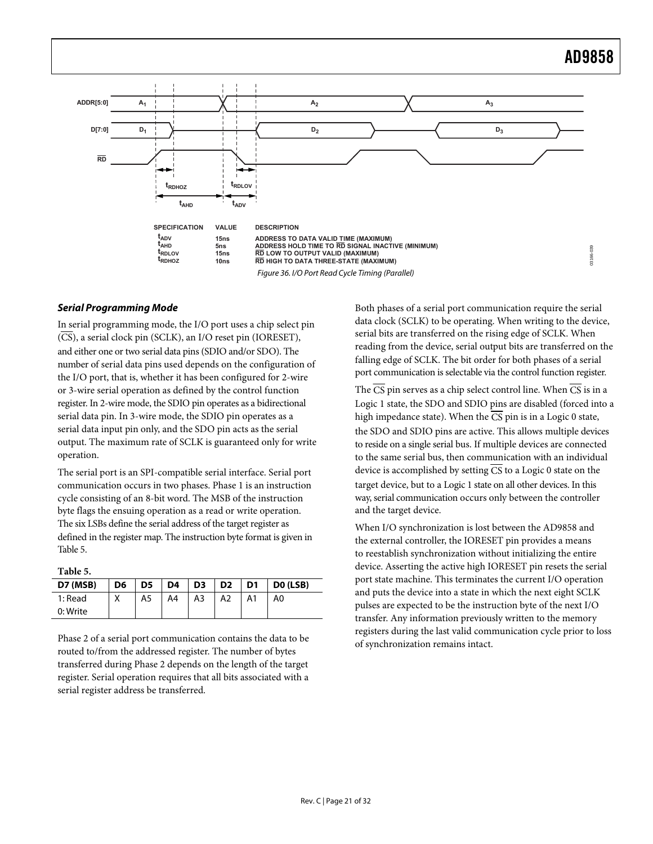<span id="page-20-0"></span>

### <span id="page-20-1"></span>**Serial Programming Mode**

In serial programming mode, the I/O port uses a chip select pin (CS), a serial clock pin (SCLK), an I/O reset pin (IORESET), and either one or two serial data pins (SDIO and/or SDO). The number of serial data pins used depends on the configuration of the I/O port, that is, whether it has been configured for 2-wire or 3-wire serial operation as defined by the control function register. In 2-wire mode, the SDIO pin operates as a bidirectional serial data pin. In 3-wire mode, the SDIO pin operates as a serial data input pin only, and the SDO pin acts as the serial output. The maximum rate of SCLK is guaranteed only for write operation.

The serial port is an SPI-compatible serial interface. Serial port communication occurs in two phases. Phase 1 is an instruction cycle consisting of an 8-bit word. The MSB of the instruction byte flags the ensuing operation as a read or write operation. The six LSBs define the serial address of the target register as defined in the register map. The instruction byte format is given in [Table 5.](#page-20-2) 

**Table 5.** 

<span id="page-20-2"></span>

| D7 (MSB) | D <sub>6</sub> | $\overline{D5}$ | D <sub>4</sub> | D3 | $\overline{D2}$ | D1 | DO (LSB) |
|----------|----------------|-----------------|----------------|----|-----------------|----|----------|
| 1: Read  | $\checkmark$   | A5              | A4             | A3 | A2              |    | A0       |
| 0: Write |                |                 |                |    |                 |    |          |

Phase 2 of a serial port communication contains the data to be routed to/from the addressed register. The number of bytes transferred during Phase 2 depends on the length of the target register. Serial operation requires that all bits associated with a serial register address be transferred.

Both phases of a serial port communication require the serial data clock (SCLK) to be operating. When writing to the device, serial bits are transferred on the rising edge of SCLK. When reading from the device, serial output bits are transferred on the falling edge of SCLK. The bit order for both phases of a serial port communication is selectable via the control function register.

The  $\overline{CS}$  pin serves as a chip select control line. When  $\overline{CS}$  is in a Logic 1 state, the SDO and SDIO pins are disabled (forced into a high impedance state). When the  $\overline{CS}$  pin is in a Logic 0 state, the SDO and SDIO pins are active. This allows multiple devices to reside on a single serial bus. If multiple devices are connected to the same serial bus, then communication with an individual device is accomplished by setting  $\overline{CS}$  to a Logic 0 state on the target device, but to a Logic 1 state on all other devices. In this way, serial communication occurs only between the controller and the target device.

When I/O synchronization is lost between the AD9858 and the external controller, the IORESET pin provides a means to reestablish synchronization without initializing the entire device. Asserting the active high IORESET pin resets the serial port state machine. This terminates the current I/O operation and puts the device into a state in which the next eight SCLK pulses are expected to be the instruction byte of the next I/O transfer. Any information previously written to the memory registers during the last valid communication cycle prior to loss of synchronization remains intact.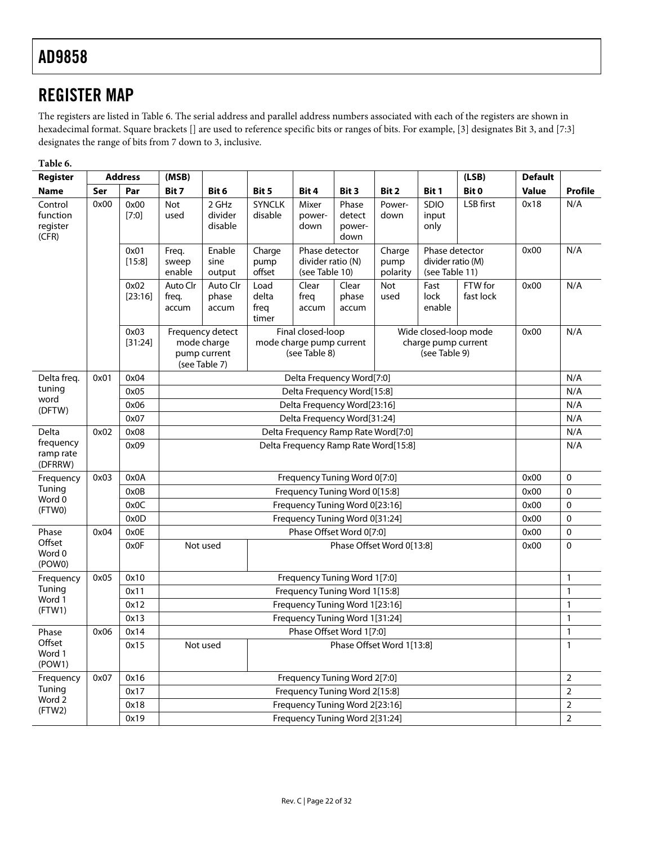### <span id="page-21-0"></span>REGISTER MAP

The registers are listed in [Table 6](#page-21-1). The serial address and parallel address numbers associated with each of the registers are shown in hexadecimal format. Square brackets [] are used to reference specific bits or ranges of bits. For example, [3] designates Bit 3, and [7:3] designates the range of bits from 7 down to 3, inclusive.

**Table 6.** 

<span id="page-21-1"></span>

| Register                                 |      | <b>Address</b>  | (MSB)                      |                                                                                                                                                                                                      |                                |                                                                |                                   |                    |                                      | (LSB)                 | <b>Default</b> |                |
|------------------------------------------|------|-----------------|----------------------------|------------------------------------------------------------------------------------------------------------------------------------------------------------------------------------------------------|--------------------------------|----------------------------------------------------------------|-----------------------------------|--------------------|--------------------------------------|-----------------------|----------------|----------------|
| Name                                     | Ser  | Par             | Bit 7                      | Bit 6                                                                                                                                                                                                | Bit 5                          | Bit 4                                                          | Bit 3                             | Bit 2              | Bit 1                                | Bit 0                 | <b>Value</b>   | Profile        |
| Control<br>function<br>register<br>(CFR) | 0x00 | 0x00<br>$[7:0]$ | <b>Not</b><br>used         | 2 GHz<br>divider<br>disable                                                                                                                                                                          | <b>SYNCLK</b><br>disable       | Mixer<br>power-<br>down                                        | Phase<br>detect<br>power-<br>down | Power-<br>down     | SDIO<br>input<br>only                | LSB first             | 0x18           | N/A            |
|                                          |      | 0x01<br>[15:8]  | Freq.<br>sweep<br>enable   | Phase detector<br>Enable<br>Charge<br>Phase detector<br>Charge<br>divider ratio (M)<br>sine<br>divider ratio (N)<br>pump<br>pump<br>offset<br>(see Table 10)<br>polarity<br>(see Table 11)<br>output |                                | 0x00                                                           | N/A                               |                    |                                      |                       |                |                |
|                                          |      | 0x02<br>[23:16] | Auto Clr<br>freq.<br>accum | Auto Clr<br>phase<br>accum                                                                                                                                                                           | Load<br>delta<br>freq<br>timer | Clear<br>freq<br>accum                                         | Clear<br>phase<br>accum           | <b>Not</b><br>used | Fast<br>lock<br>enable               | FTW for<br>fast lock  | 0x00           | N/A            |
|                                          |      | 0x03<br>[31:24] |                            | Frequency detect<br>mode charge<br>pump current<br>(see Table 7)                                                                                                                                     |                                | Final closed-loop<br>mode charge pump current<br>(see Table 8) |                                   |                    | charge pump current<br>(see Table 9) | Wide closed-loop mode | 0x00           | N/A            |
| Delta freq.                              | 0x01 | 0x04            |                            |                                                                                                                                                                                                      |                                | Delta Frequency Word[7:0]                                      |                                   |                    |                                      |                       |                | N/A            |
| tuning<br>word                           |      | 0x05            |                            |                                                                                                                                                                                                      |                                | Delta Frequency Word[15:8]                                     |                                   |                    |                                      |                       |                | N/A            |
| (DFTW)                                   |      | 0x06            |                            |                                                                                                                                                                                                      |                                | Delta Frequency Word[23:16]                                    |                                   |                    |                                      |                       |                | N/A            |
|                                          |      | 0x07            |                            |                                                                                                                                                                                                      |                                | Delta Frequency Word[31:24]                                    |                                   |                    |                                      |                       |                | N/A            |
| Delta                                    | 0x02 | 0x08            |                            |                                                                                                                                                                                                      |                                | Delta Frequency Ramp Rate Word[7:0]                            |                                   |                    |                                      |                       |                | N/A            |
| frequency<br>ramp rate<br>(DFRRW)        |      | 0x09            |                            | Delta Frequency Ramp Rate Word[15:8]                                                                                                                                                                 |                                |                                                                |                                   |                    |                                      |                       | N/A            |                |
| Frequency                                | 0x03 | 0x0A            |                            |                                                                                                                                                                                                      |                                | Frequency Tuning Word 0[7:0]                                   |                                   |                    |                                      |                       | 0x00           | $\Omega$       |
| Tuning<br>Word 0                         |      | 0x0B            |                            | Frequency Tuning Word 0[15:8]                                                                                                                                                                        |                                |                                                                |                                   |                    |                                      | 0x00                  | $\mathbf 0$    |                |
| (FTWO)                                   |      | 0x0C            |                            |                                                                                                                                                                                                      |                                | Frequency Tuning Word 0[23:16]                                 |                                   |                    |                                      |                       | 0x00           | $\mathbf 0$    |
|                                          |      | 0x0D            |                            | Frequency Tuning Word 0[31:24]                                                                                                                                                                       |                                |                                                                |                                   |                    |                                      | 0x00                  | $\mathbf 0$    |                |
| Phase                                    | 0x04 | 0x0E            |                            |                                                                                                                                                                                                      |                                | Phase Offset Word 0[7:0]                                       |                                   |                    |                                      |                       | 0x00           | $\mathbf 0$    |
| Offset<br>Word 0<br>(POWO)               |      | 0x0F            |                            | Phase Offset Word 0[13:8]<br>Not used                                                                                                                                                                |                                |                                                                |                                   |                    | 0x00                                 | $\mathbf{0}$          |                |                |
| Frequency                                | 0x05 | 0x10            |                            | Frequency Tuning Word 1[7:0]                                                                                                                                                                         |                                |                                                                |                                   |                    |                                      |                       |                | $\mathbf{1}$   |
| Tuning<br>Word 1                         |      | 0x11            |                            | Frequency Tuning Word 1[15:8]                                                                                                                                                                        |                                |                                                                |                                   |                    |                                      |                       | $\mathbf{1}$   |                |
| (FTW1)                                   |      | 0x12            |                            | Frequency Tuning Word 1[23:16]                                                                                                                                                                       |                                |                                                                |                                   |                    |                                      |                       | $\mathbf{1}$   |                |
|                                          |      | 0x13            |                            | Frequency Tuning Word 1[31:24]                                                                                                                                                                       |                                |                                                                |                                   |                    |                                      |                       | $\mathbf{1}$   |                |
| Phase                                    | 0x06 | 0x14            |                            | Phase Offset Word 1[7:0]                                                                                                                                                                             |                                |                                                                |                                   |                    |                                      |                       | $\mathbf{1}$   |                |
| Offset<br>Word 1<br>(POW1)               |      | 0x15            |                            | Phase Offset Word 1[13:8]<br>Not used                                                                                                                                                                |                                |                                                                |                                   |                    |                                      | $\mathbf{1}$          |                |                |
| Frequency                                | 0x07 | 0x16            |                            |                                                                                                                                                                                                      |                                | Frequency Tuning Word 2[7:0]                                   |                                   |                    |                                      |                       |                | $\overline{2}$ |
| Tuning<br>Word 2                         |      | 0x17            |                            |                                                                                                                                                                                                      |                                | Frequency Tuning Word 2[15:8]                                  |                                   |                    |                                      |                       |                | $\overline{2}$ |
| (FTW2)                                   |      | 0x18            |                            |                                                                                                                                                                                                      |                                | Frequency Tuning Word 2[23:16]                                 |                                   |                    |                                      |                       |                | $\overline{2}$ |
|                                          |      | 0x19            |                            | Frequency Tuning Word 2[31:24]                                                                                                                                                                       |                                |                                                                |                                   |                    |                                      |                       | $\overline{2}$ |                |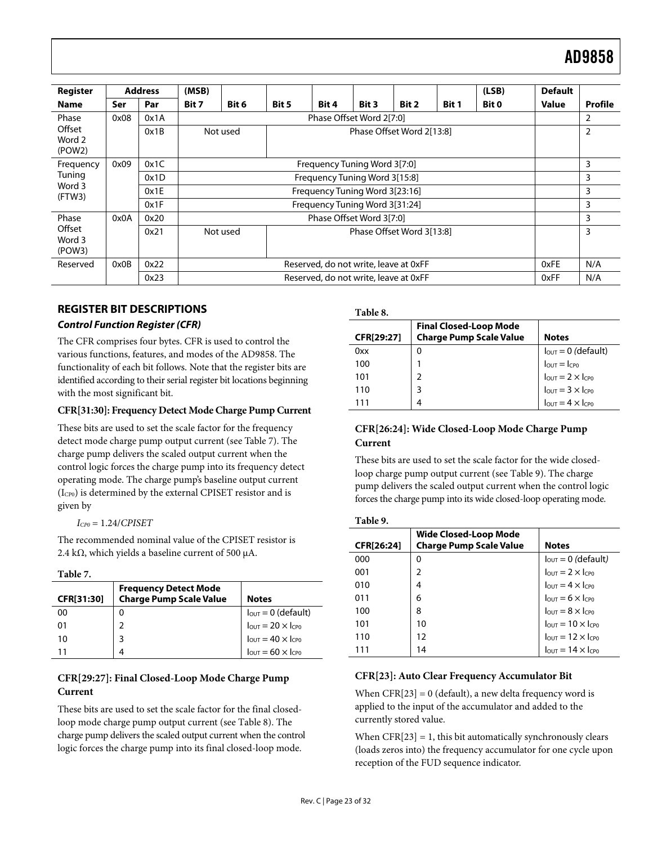<span id="page-22-0"></span>

| Register                   |      | <b>Address</b> | (MSB) |                                       |       |                                       |       |       |       | (LSB) | <b>Default</b> |                |
|----------------------------|------|----------------|-------|---------------------------------------|-------|---------------------------------------|-------|-------|-------|-------|----------------|----------------|
| <b>Name</b>                | Ser  | Par            | Bit 7 | Bit 6                                 | Bit 5 | Bit 4                                 | Bit 3 | Bit 2 | Bit 1 | Bit 0 | <b>Value</b>   | Profile        |
| Phase                      | 0x08 | 0x1A           |       |                                       |       | Phase Offset Word 2[7:0]              |       |       |       |       |                | $\overline{2}$ |
| Offset<br>Word 2<br>(POW2) |      | 0x1B           |       | Not used                              |       | Phase Offset Word 2[13:8]             |       |       |       |       |                | $\overline{2}$ |
| Frequency                  | 0x09 | 0x1C           |       | Frequency Tuning Word 3[7:0]          |       |                                       |       |       | 3     |       |                |                |
| Tuning                     |      | 0x1D           |       | Frequency Tuning Word 3[15:8]         |       |                                       |       | 3     |       |       |                |                |
| Word 3<br>(FTW3)           |      | 0x1E           |       | Frequency Tuning Word 3[23:16]        |       |                                       |       |       | 3     |       |                |                |
|                            |      | 0x1F           |       | Frequency Tuning Word 3[31:24]        |       |                                       |       |       | 3     |       |                |                |
| Phase                      | 0x0A | 0x20           |       | Phase Offset Word 3[7:0]              |       |                                       |       |       | 3     |       |                |                |
| Offset<br>Word 3<br>(POW3) |      | 0x21           |       | Phase Offset Word 3[13:8]<br>Not used |       |                                       |       | 3     |       |       |                |                |
| Reserved                   | 0x0B | 0x22           |       | Reserved, do not write, leave at 0xFF |       |                                       | 0xFE  | N/A   |       |       |                |                |
|                            |      | 0x23           |       |                                       |       | Reserved, do not write, leave at 0xFF |       |       |       |       | 0xFF           | N/A            |

### <span id="page-22-4"></span>**REGISTER BIT DESCRIPTIONS**

### <span id="page-22-2"></span>**Control Function Register (CFR)**

The CFR comprises four bytes. CFR is used to control the various functions, features, and modes of the AD9858. The functionality of each bit follows. Note that the register bits are identified according to their serial register bit locations beginning with the most significant bit.

#### **CFR[31:30]: Frequency Detect Mode Charge Pump Current**

These bits are used to set the scale factor for the frequency detect mode charge pump output current (see [Table 7](#page-22-1)). The charge pump delivers the scaled output current when the control logic forces the charge pump into its frequency detect operating mode. The charge pump's baseline output current (ICP0) is determined by the external CPISET resistor and is given by

```
ICP0 = 1.24/CPISET
```
<span id="page-22-3"></span>The recommended nominal value of the CPISET resistor is 2.4 kΩ, which yields a baseline current of 500  $\mu$ A.

#### **Table 7.**

<span id="page-22-1"></span>

| CFR[31:30] | <b>Frequency Detect Mode</b><br><b>Charge Pump Scale Value</b> | <b>Notes</b>                                |
|------------|----------------------------------------------------------------|---------------------------------------------|
| 00         | 0                                                              | $I_{\text{OUT}} = 0$ (default)              |
| 01         |                                                                | $I_{\text{OUT}} = 20 \times I_{\text{CPO}}$ |
| 10         | 3                                                              | $I_{\text{OUT}} = 40 \times I_{\text{CPO}}$ |
| 11         | 4                                                              | $I_{\text{OUT}} = 60 \times I_{\text{CP0}}$ |

### **CFR[29:27]: Final Closed-Loop Mode Charge Pump Current**

These bits are used to set the scale factor for the final closedloop mode charge pump output current (see [Table 8](#page-22-2)). The charge pump delivers the scaled output current when the control logic forces the charge pump into its final closed-loop mode.

**Table 8.** 

| CFR[29:27] | <b>Final Closed-Loop Mode</b><br><b>Charge Pump Scale Value</b> | <b>Notes</b>                                                                                                                                                                                                |
|------------|-----------------------------------------------------------------|-------------------------------------------------------------------------------------------------------------------------------------------------------------------------------------------------------------|
| 0xx        |                                                                 | $T_{\text{OUT}} = 0$ (default)<br>$T_{\text{OUT}} = 1 \text{Cp0}$<br>$T_{\text{OUT}} = 2 \times T_{\text{Cp0}}$<br>$T_{\text{OUT}} = 3 \times T_{\text{Cp0}}$<br>$T_{\text{OUT}} = 4 \times T_{\text{Cp0}}$ |
| 100        |                                                                 |                                                                                                                                                                                                             |
| 101        |                                                                 |                                                                                                                                                                                                             |
| 110        |                                                                 |                                                                                                                                                                                                             |
| 111        |                                                                 |                                                                                                                                                                                                             |

### **CFR[26:24]: Wide Closed-Loop Mode Charge Pump Current**

These bits are used to set the scale factor for the wide closedloop charge pump output current (see [Table 9\)](#page-22-3). The charge pump delivers the scaled output current when the control logic forces the charge pump into its wide closed-loop operating mode.

| яη<br>۱<br>H<br>P |  |
|-------------------|--|
|                   |  |

| CFR[26:24] | Wide Closed-Loop Mode<br><b>Charge Pump Scale Value</b> | <b>Notes</b>                                |
|------------|---------------------------------------------------------|---------------------------------------------|
| 000        | 0                                                       | $I_{\text{OUT}} = 0$ (default)              |
| 001        | 2                                                       | $I_{\text{OUT}} = 2 \times I_{\text{CP0}}$  |
| 010        | 4                                                       | $I_{\text{OUT}} = 4 \times I_{\text{CP}}$   |
| 011        | 6                                                       | $l_{\text{OUT}} = 6 \times l_{\text{CP}}$   |
| 100        | 8                                                       | $l_{OUT} = 8 \times l_{CP0}$                |
| 101        | 10                                                      | $l_{\text{OUT}} = 10 \times l_{\text{CP0}}$ |
| 110        | 12                                                      | $l_{\text{OUT}} = 12 \times l_{\text{CPO}}$ |
| 111        | 14                                                      | $l_{OUT} = 14 \times l_{CP0}$               |

#### **CFR[23]: Auto Clear Frequency Accumulator Bit**

When  $CFR[23] = 0$  (default), a new delta frequency word is applied to the input of the accumulator and added to the currently stored value.

When  $CFR[23] = 1$ , this bit automatically synchronously clears (loads zeros into) the frequency accumulator for one cycle upon reception of the FUD sequence indicator.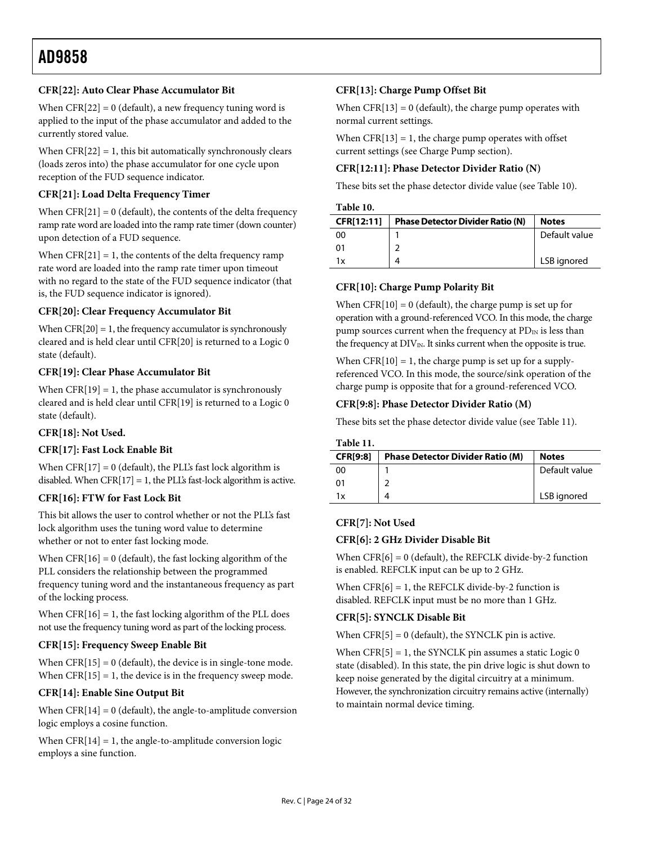### **CFR[22]: Auto Clear Phase Accumulator Bit**

When  $CFR[22] = 0$  (default), a new frequency tuning word is applied to the input of the phase accumulator and added to the currently stored value.

When  $CFR[22] = 1$ , this bit automatically synchronously clears (loads zeros into) the phase accumulator for one cycle upon reception of the FUD sequence indicator.

### **CFR[21]: Load Delta Frequency Timer**

<span id="page-23-0"></span>When  $CFR[21] = 0$  (default), the contents of the delta frequency ramp rate word are loaded into the ramp rate timer (down counter) upon detection of a FUD sequence.

When  $CFR[21] = 1$ , the contents of the delta frequency ramp rate word are loaded into the ramp rate timer upon timeout with no regard to the state of the FUD sequence indicator (that is, the FUD sequence indicator is ignored).

### **CFR[20]: Clear Frequency Accumulator Bit**

When  $CFR[20] = 1$ , the frequency accumulator is synchronously cleared and is held clear until CFR[20] is returned to a Logic 0 state (default).

### **CFR[19]: Clear Phase Accumulator Bit**

When  $CFR[19] = 1$ , the phase accumulator is synchronously cleared and is held clear until CFR[19] is returned to a Logic 0 state (default).

### **CFR[18]: Not Used.**

### <span id="page-23-1"></span>**CFR[17]: Fast Lock Enable Bit**

When  $CFR[17] = 0$  (default), the PLL's fast lock algorithm is disabled. When  $CFR[17] = 1$ , the PLI's fast-lock algorithm is active.

### **CFR[16]: FTW for Fast Lock Bit**

This bit allows the user to control whether or not the PLL's fast lock algorithm uses the tuning word value to determine whether or not to enter fast locking mode.

When  $CFR[16] = 0$  (default), the fast locking algorithm of the PLL considers the relationship between the programmed frequency tuning word and the instantaneous frequency as part of the locking process.

When  $CFR[16] = 1$ , the fast locking algorithm of the PLL does not use the frequency tuning word as part of the locking process.

### **CFR[15]: Frequency Sweep Enable Bit**

When  $CFR[15] = 0$  (default), the device is in single-tone mode. When  $CFR[15] = 1$ , the device is in the frequency sweep mode.

### **CFR[14]: Enable Sine Output Bit**

When  $CFR[14] = 0$  (default), the angle-to-amplitude conversion logic employs a cosine function.

When  $CFR[14] = 1$ , the angle-to-amplitude conversion logic employs a sine function.

### **CFR[13]: Charge Pump Offset Bit**

When  $CFR[13] = 0$  (default), the charge pump operates with normal current settings.

When  $CFR[13] = 1$ , the charge pump operates with offset current settings (see [Charge Pump](#page-14-2) section).

### **CFR[12:11]: Phase Detector Divider Ratio (N)**

These bits set the phase detector divide value (see [Table 10](#page-23-0)).

#### **Table 10.**

| CFR[12:11] | <b>Phase Detector Divider Ratio (N)</b> | <b>Notes</b>  |
|------------|-----------------------------------------|---------------|
| 00         |                                         | Default value |
| 01         |                                         |               |
| 1x         | Δ                                       | LSB ignored   |

### **CFR[10]: Charge Pump Polarity Bit**

When  $CFR[10] = 0$  (default), the charge pump is set up for operation with a ground-referenced VCO. In this mode, the charge pump sources current when the frequency at  $PD_{IN}$  is less than the frequency at  $DIV_{IN}$ . It sinks current when the opposite is true.

When  $CFR[10] = 1$ , the charge pump is set up for a supplyreferenced VCO. In this mode, the source/sink operation of the charge pump is opposite that for a ground-referenced VCO.

### **CFR[9:8]: Phase Detector Divider Ratio (M)**

These bits set the phase detector divide value (see [Table 11](#page-23-1)).

#### **Table 11.**

| <b>CFR[9:8]</b> | <b>Phase Detector Divider Ratio (M)</b> | <b>Notes</b>  |
|-----------------|-----------------------------------------|---------------|
| ΩO              |                                         | Default value |
| 01              |                                         |               |
| 1x              |                                         | LSB ignored   |

### **CFR[7]: Not Used**

### **CFR[6]: 2 GHz Divider Disable Bit**

When  $CFR[6] = 0$  (default), the REFCLK divide-by-2 function is enabled. REFCLK input can be up to 2 GHz.

When  $CFR[6] = 1$ , the REFCLK divide-by-2 function is disabled. REFCLK input must be no more than 1 GHz.

### **CFR[5]: SYNCLK Disable Bit**

When  $CFR[5] = 0$  (default), the SYNCLK pin is active.

When  $CFR[5] = 1$ , the SYNCLK pin assumes a static Logic 0 state (disabled). In this state, the pin drive logic is shut down to keep noise generated by the digital circuitry at a minimum. However, the synchronization circuitry remains active (internally) to maintain normal device timing.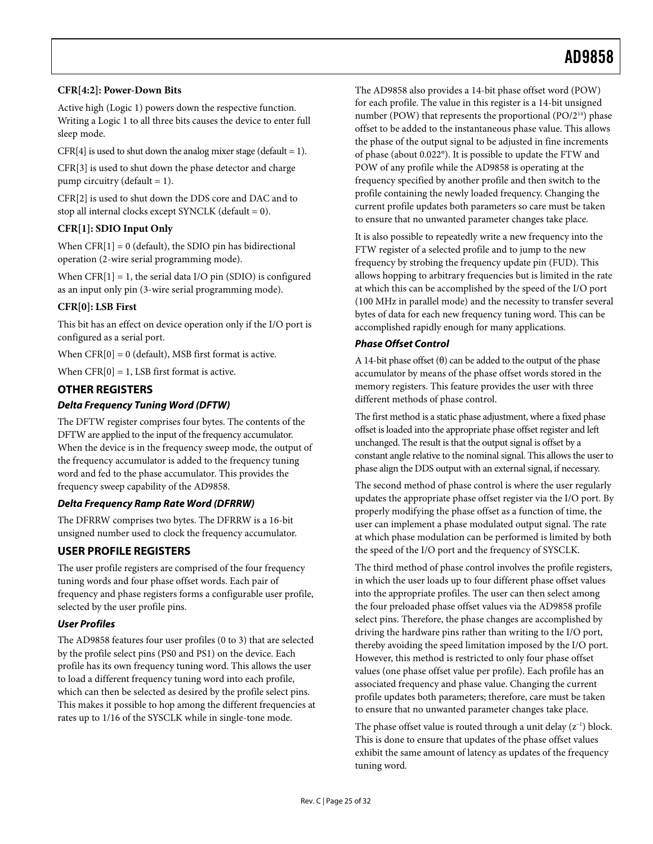### <span id="page-24-0"></span>**CFR[4:2]: Power-Down Bits**

Active high (Logic 1) powers down the respective function. Writing a Logic 1 to all three bits causes the device to enter full sleep mode.

 $CFR[4]$  is used to shut down the analog mixer stage (default = 1).

CFR[3] is used to shut down the phase detector and charge pump circuitry (default = 1).

CFR[2] is used to shut down the DDS core and DAC and to stop all internal clocks except SYNCLK (default  $= 0$ ).

### **CFR[1]: SDIO Input Only**

When  $CFR[1] = 0$  (default), the SDIO pin has bidirectional operation (2-wire serial programming mode).

When  $CFR[1] = 1$ , the serial data I/O pin (SDIO) is configured as an input only pin (3-wire serial programming mode).

### **CFR[0]: LSB First**

This bit has an effect on device operation only if the I/O port is configured as a serial port.

When  $CFR[0] = 0$  (default), MSB first format is active.

When  $CFR[0] = 1$ , LSB first format is active.

### **OTHER REGISTERS**

### **Delta Frequency Tuning Word (DFTW)**

The DFTW register comprises four bytes. The contents of the DFTW are applied to the input of the frequency accumulator. When the device is in the frequency sweep mode, the output of the frequency accumulator is added to the frequency tuning word and fed to the phase accumulator. This provides the frequency sweep capability of the AD9858.

### **Delta Frequency Ramp Rate Word (DFRRW)**

The DFRRW comprises two bytes. The DFRRW is a 16-bit unsigned number used to clock the frequency accumulator.

### **USER PROFILE REGISTERS**

The user profile registers are comprised of the four frequency tuning words and four phase offset words. Each pair of frequency and phase registers forms a configurable user profile, selected by the user profile pins.

### **User Profiles**

The AD9858 features four user profiles (0 to 3) that are selected by the profile select pins (PS0 and PS1) on the device. Each profile has its own frequency tuning word. This allows the user to load a different frequency tuning word into each profile, which can then be selected as desired by the profile select pins. This makes it possible to hop among the different frequencies at rates up to 1/16 of the SYSCLK while in single-tone mode.

The AD9858 also provides a 14-bit phase offset word (POW) for each profile. The value in this register is a 14-bit unsigned number (POW) that represents the proportional (PO/2<sup>14</sup>) phase offset to be added to the instantaneous phase value. This allows the phase of the output signal to be adjusted in fine increments of phase (about 0.022°). It is possible to update the FTW and POW of any profile while the AD9858 is operating at the frequency specified by another profile and then switch to the profile containing the newly loaded frequency. Changing the current profile updates both parameters so care must be taken to ensure that no unwanted parameter changes take place.

It is also possible to repeatedly write a new frequency into the FTW register of a selected profile and to jump to the new frequency by strobing the frequency update pin (FUD). This allows hopping to arbitrary frequencies but is limited in the rate at which this can be accomplished by the speed of the I/O port (100 MHz in parallel mode) and the necessity to transfer several bytes of data for each new frequency tuning word. This can be accomplished rapidly enough for many applications.

#### **Phase Offset Control**

A 14-bit phase offset  $(\theta)$  can be added to the output of the phase accumulator by means of the phase offset words stored in the memory registers. This feature provides the user with three different methods of phase control.

The first method is a static phase adjustment, where a fixed phase offset is loaded into the appropriate phase offset register and left unchanged. The result is that the output signal is offset by a constant angle relative to the nominal signal. This allows the user to phase align the DDS output with an external signal, if necessary.

The second method of phase control is where the user regularly updates the appropriate phase offset register via the I/O port. By properly modifying the phase offset as a function of time, the user can implement a phase modulated output signal. The rate at which phase modulation can be performed is limited by both the speed of the I/O port and the frequency of SYSCLK.

The third method of phase control involves the profile registers, in which the user loads up to four different phase offset values into the appropriate profiles. The user can then select among the four preloaded phase offset values via the AD9858 profile select pins. Therefore, the phase changes are accomplished by driving the hardware pins rather than writing to the I/O port, thereby avoiding the speed limitation imposed by the I/O port. However, this method is restricted to only four phase offset values (one phase offset value per profile). Each profile has an associated frequency and phase value. Changing the current profile updates both parameters; therefore, care must be taken to ensure that no unwanted parameter changes take place.

The phase offset value is routed through a unit delay  $(z^{-1})$  block. This is done to ensure that updates of the phase offset values exhibit the same amount of latency as updates of the frequency tuning word.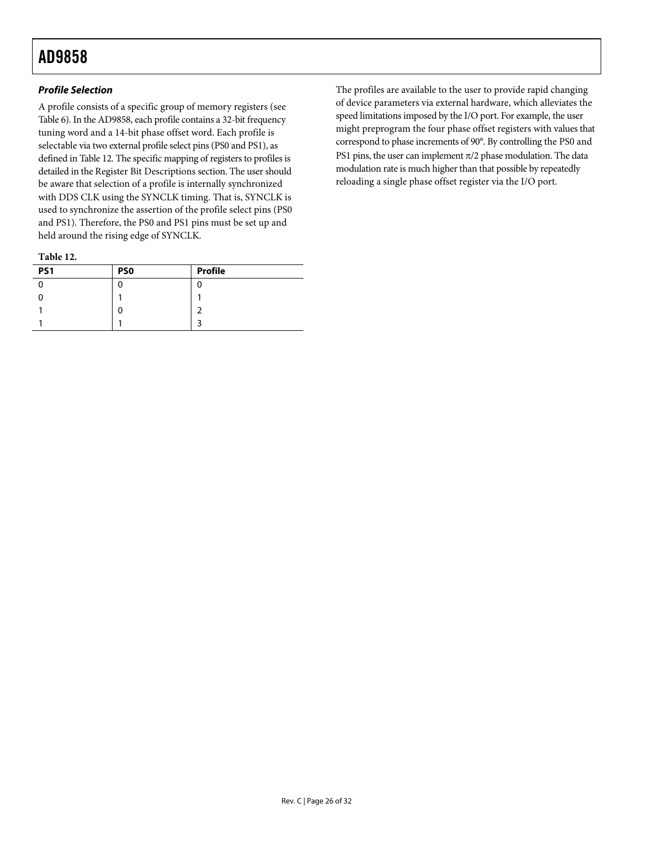### **Profile Selection**

A profile consists of a specific group of memory registers (see [Table 6](#page-21-1)). In the AD9858, each profile contains a 32-bit frequency tuning word and a 14-bit phase offset word. Each profile is selectable via two external profile select pins (PS0 and PS1), as defined in [Table 12](#page-25-0). The specific mapping of registers to profiles is detailed in the [Register Bit Descriptions](#page-22-4) section. The user should be aware that selection of a profile is internally synchronized with DDS CLK using the SYNCLK timing. That is, SYNCLK is used to synchronize the assertion of the profile select pins (PS0 and PS1). Therefore, the PS0 and PS1 pins must be set up and held around the rising edge of SYNCLK.

**Table 12.** 

<span id="page-25-0"></span>

| _____           |                 |                |
|-----------------|-----------------|----------------|
| PS <sub>1</sub> | PS <sub>0</sub> | <b>Profile</b> |
|                 |                 |                |
|                 |                 |                |
|                 |                 |                |
|                 |                 |                |

The profiles are available to the user to provide rapid changing of device parameters via external hardware, which alleviates the speed limitations imposed by the I/O port. For example, the user might preprogram the four phase offset registers with values that correspond to phase increments of 90°. By controlling the PS0 and PS1 pins, the user can implement  $\pi/2$  phase modulation. The data modulation rate is much higher than that possible by repeatedly reloading a single phase offset register via the I/O port.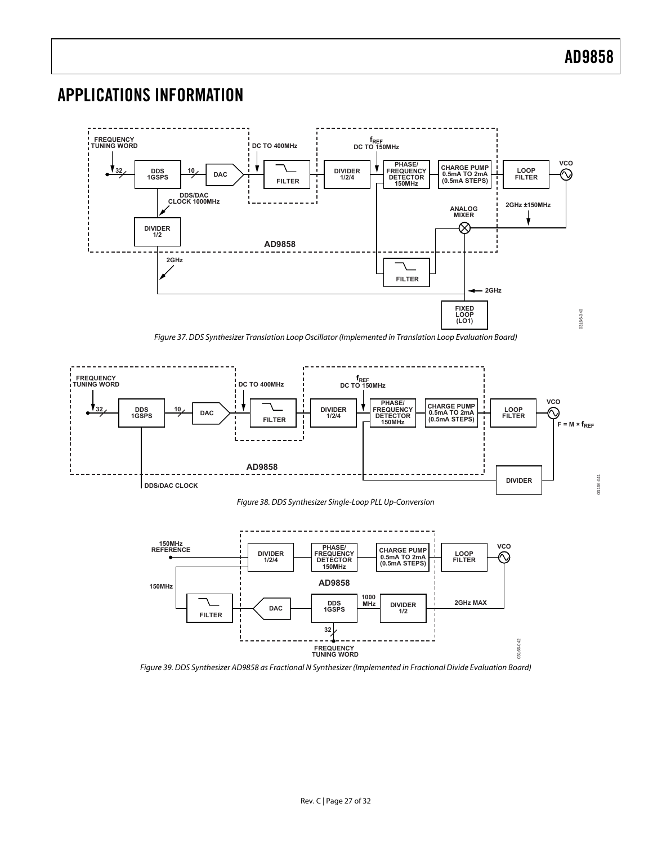### <span id="page-26-0"></span>APPLICATIONS INFORMATION



<span id="page-26-3"></span>



<span id="page-26-1"></span>

<span id="page-26-2"></span>Figure 39. DDS Synthesizer AD9858 as Fractional N Synthesizer (Implemented in Fractional Divide Evaluation Board)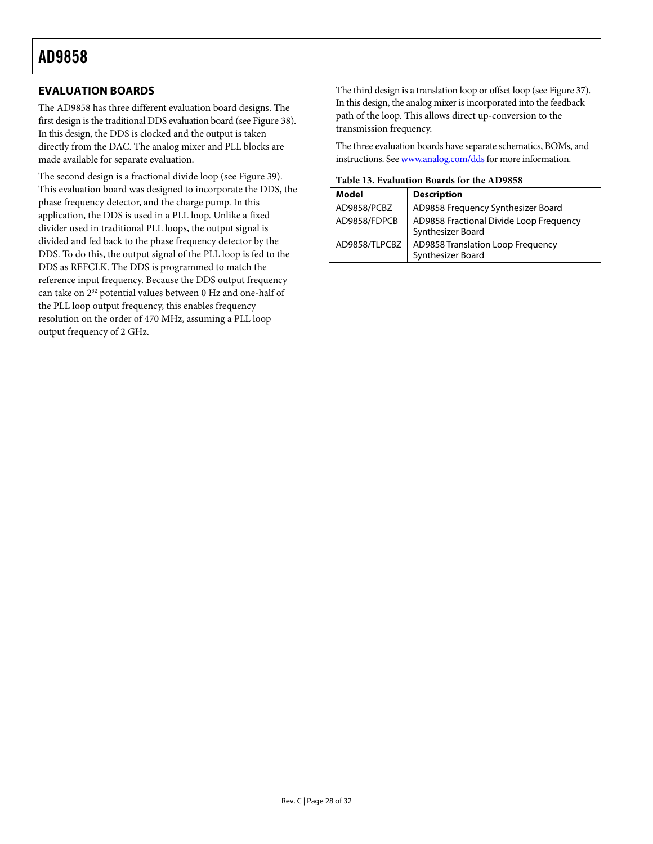### <span id="page-27-0"></span>**EVALUATION BOARDS**

The AD9858 has three different evaluation board designs. The first design is the traditional DDS evaluation board (see [Figure 38](#page-26-1)). In this design, the DDS is clocked and the output is taken directly from the DAC. The analog mixer and PLL blocks are made available for separate evaluation.

The second design is a fractional divide loop (see [Figure 39](#page-26-2)). This evaluation board was designed to incorporate the DDS, the phase frequency detector, and the charge pump. In this application, the DDS is used in a PLL loop. Unlike a fixed divider used in traditional PLL loops, the output signal is divided and fed back to the phase frequency detector by the DDS. To do this, the output signal of the PLL loop is fed to the DDS as REFCLK. The DDS is programmed to match the reference input frequency. Because the DDS output frequency can take on 232 potential values between 0 Hz and one-half of the PLL loop output frequency, this enables frequency resolution on the order of 470 MHz, assuming a PLL loop output frequency of 2 GHz.

The third design is a translation loop or offset loop (see [Figure 37\)](#page-26-3). In this design, the analog mixer is incorporated into the feedback path of the loop. This allows direct up-conversion to the transmission frequency.

The three evaluation boards have separate schematics, BOMs, and instructions. See [www.analog.com/dds](http://www.analog.com/dds) for more information.

**Table 13. Evaluation Boards for the AD9858** 

| Model         | <b>Description</b>                                           |  |
|---------------|--------------------------------------------------------------|--|
| AD9858/PCBZ   | AD9858 Frequency Synthesizer Board                           |  |
| AD9858/FDPCB  | AD9858 Fractional Divide Loop Frequency<br>Synthesizer Board |  |
| AD9858/TLPCBZ | AD9858 Translation Loop Frequency<br>Synthesizer Board       |  |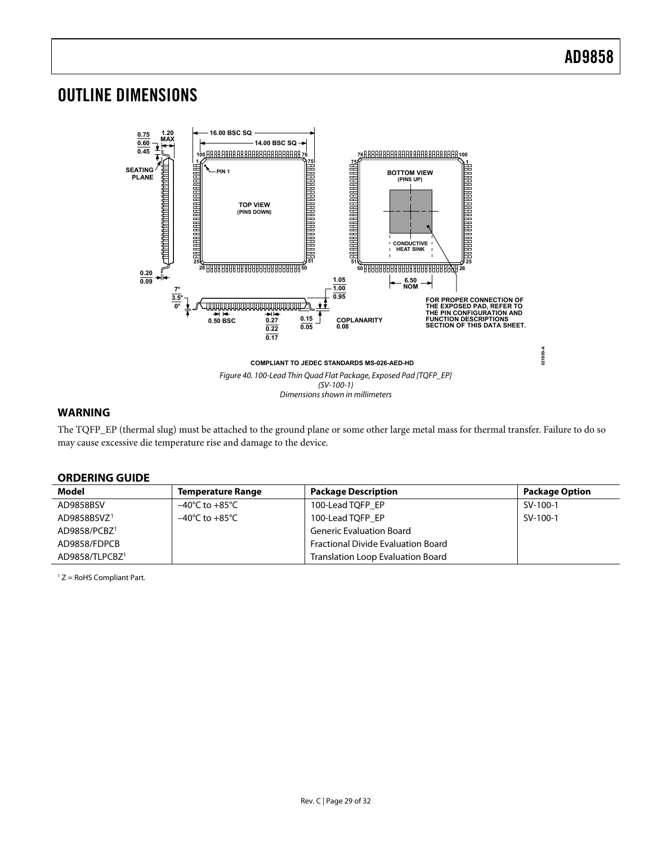### <span id="page-28-0"></span>OUTLINE DIMENSIONS



### **WARNING**

The TQFP\_EP (thermal slug) must be attached to the ground plane or some other large metal mass for thermal transfer. Failure to do so may cause excessive die temperature rise and damage to the device.

### **ORDERING GUIDE**

<span id="page-28-1"></span>

| Model                      | Temperature Range                  | <b>Package Description</b>                | <b>Package Option</b> |
|----------------------------|------------------------------------|-------------------------------------------|-----------------------|
| AD9858BSV                  | $-40^{\circ}$ C to $+85^{\circ}$ C | 100-Lead TQFP EP                          | SV-100-1              |
| AD9858BSVZ <sup>1</sup>    | $-40^{\circ}$ C to $+85^{\circ}$ C | 100-Lead TQFP EP                          | SV-100-1              |
| AD9858/PCBZ <sup>1</sup>   |                                    | <b>Generic Evaluation Board</b>           |                       |
| AD9858/FDPCB               |                                    | <b>Fractional Divide Evaluation Board</b> |                       |
| AD9858/TLPCBZ <sup>1</sup> |                                    | <b>Translation Loop Evaluation Board</b>  |                       |

1 Z = RoHS Compliant Part.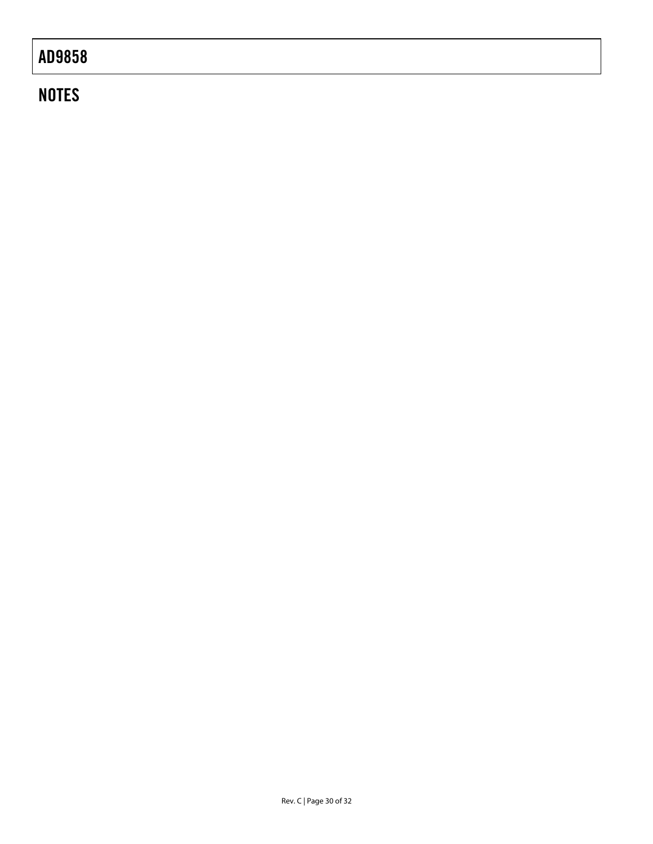# **NOTES**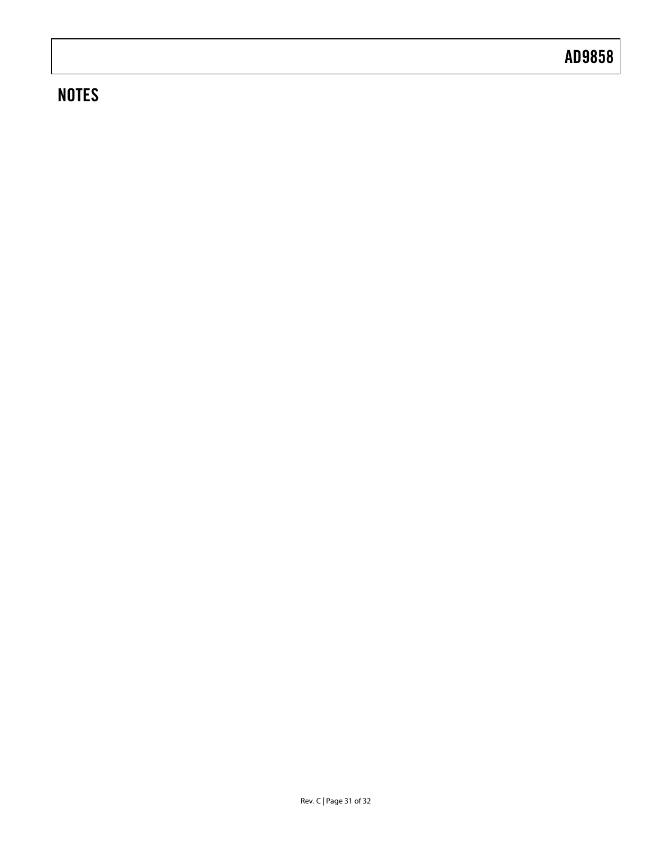# **NOTES**